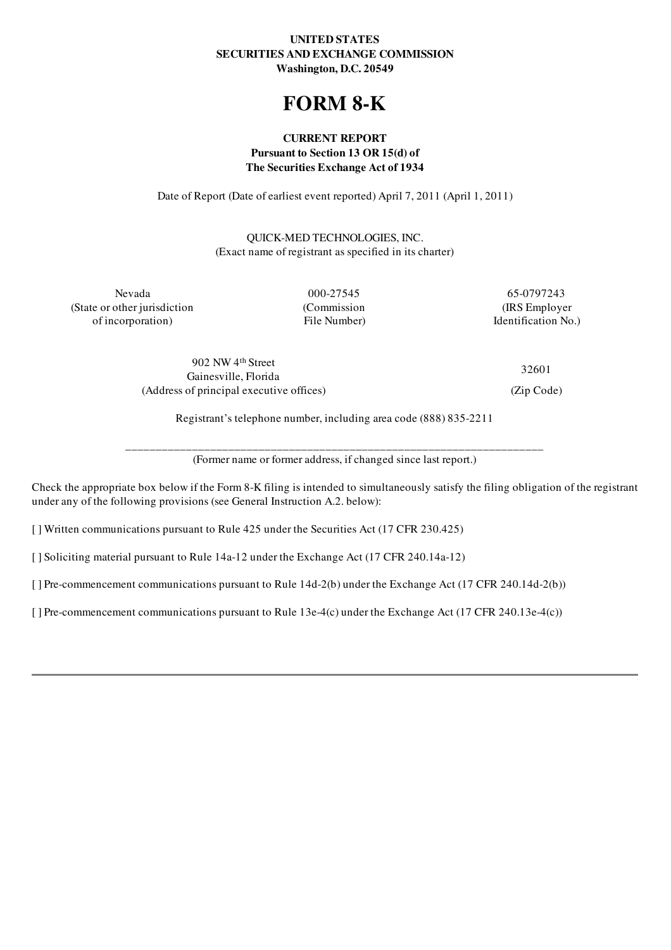# UNITED STATES SECURITIES AND EXCHANGE COMMISSION Washington, D.C. 20549

# FORM 8-K

# CURRENT REPORT Pursuant to Section 13 OR 15(d) of The Securities Exchange Act of 1934

Date of Report (Date of earliest event reported) April 7, 2011 (April 1, 2011)

QUICK-MED TECHNOLOGIES, INC. (Exact name of registrant as specified in its charter)

(State or other jurisdiction (Commission (IRS Employer of incorporation) File Number) File Number Identification No.)

Nevada 000-27545 65-0797243

902 NW 4 th Street Gainesville, Florida (Address of principal executive offices) (Zip Code)

32601

Registrant's telephone number, including area code (888) 835-2211

\_\_\_\_\_\_\_\_\_\_\_\_\_\_\_\_\_\_\_\_\_\_\_\_\_\_\_\_\_\_\_\_\_\_\_\_\_\_\_\_\_\_\_\_\_\_\_\_\_\_\_\_\_\_\_\_\_\_\_\_\_\_\_\_\_\_\_\_\_ (Former name or former address, if changed since last report.)

Check the appropriate box below if the Form 8-K filing is intended to simultaneously satisfy the filing obligation of the registrant under any of the following provisions (see General Instruction A.2. below):

[ ] Written communications pursuant to Rule 425 under the Securities Act (17 CFR 230.425)

[ ] Soliciting material pursuant to Rule 14a-12 under the Exchange Act (17 CFR 240.14a-12)

[] Pre-commencement communications pursuant to Rule 14d-2(b) under the Exchange Act (17 CFR 240.14d-2(b))

[ ] Pre-commencement communications pursuant to Rule 13e-4(c) under the Exchange Act (17 CFR 240.13e-4(c))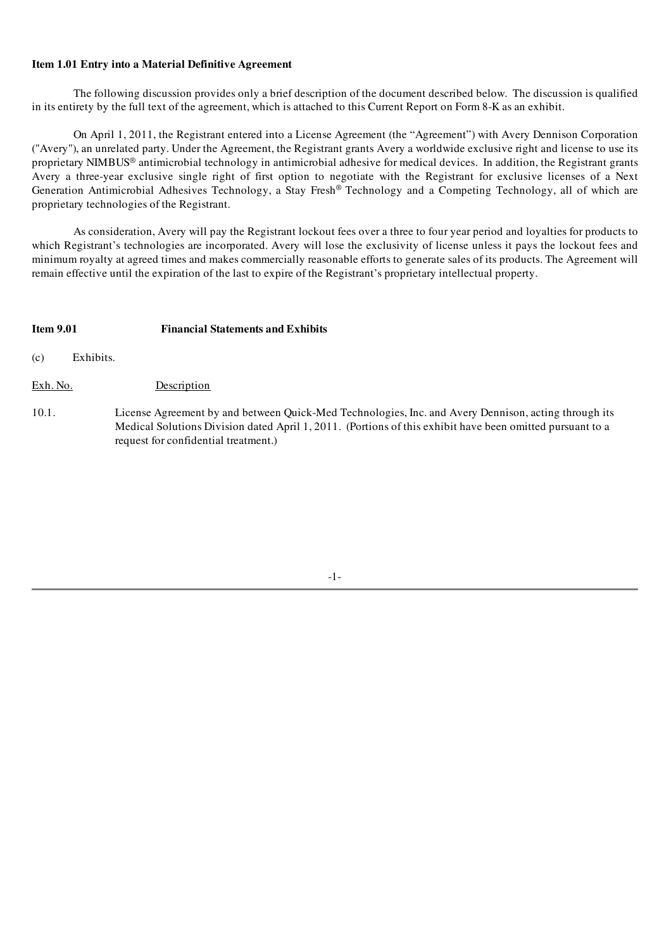# Item 1.01 Entry into a Material Definitive Agreement

The following discussion provides only a brief description of the document described below. The discussion is qualified in its entirety by the full text of the agreement, which is attached to this Current Report on Form 8-K as an exhibit.

On April 1, 2011, the Registrant entered into a License Agreement (the "Agreement") with Avery Dennison Corporation ("Avery"), an unrelated party. Under the Agreement, the Registrant grants Avery a worldwide exclusive right and license to use its proprietary NIMBUS ® antimicrobial technology in antimicrobial adhesive for medical devices. In addition, the Registrant grants Avery a three-year exclusive single right of first option to negotiate with the Registrant for exclusive licenses of a Next Generation Antimicrobial Adhesives Technology, a Stay Fresh® Technology and a Competing Technology, all of which are proprietary technologies of the Registrant.

As consideration, Avery will pay the Registrant lockout fees over a three to four year period and loyalties for products to which Registrant's technologies are incorporated. Avery will lose the exclusivity of license unless it pays the lockout fees and minimum royalty at agreed times and makes commercially reasonable efforts to generate sales of its products. The Agreement will remain effective until the expiration of the last to expire of the Registrant's proprietary intellectual property.

# Item 9.01 Financial Statements and Exhibits

(c) Exhibits.

Exh. No. Description

10.1. License Agreement by and between Quick-Med Technologies, Inc. and Avery Dennison, acting through its Medical Solutions Division dated April 1, 2011. (Portions of this exhibit have been omitted pursuant to a request for confidential treatment.)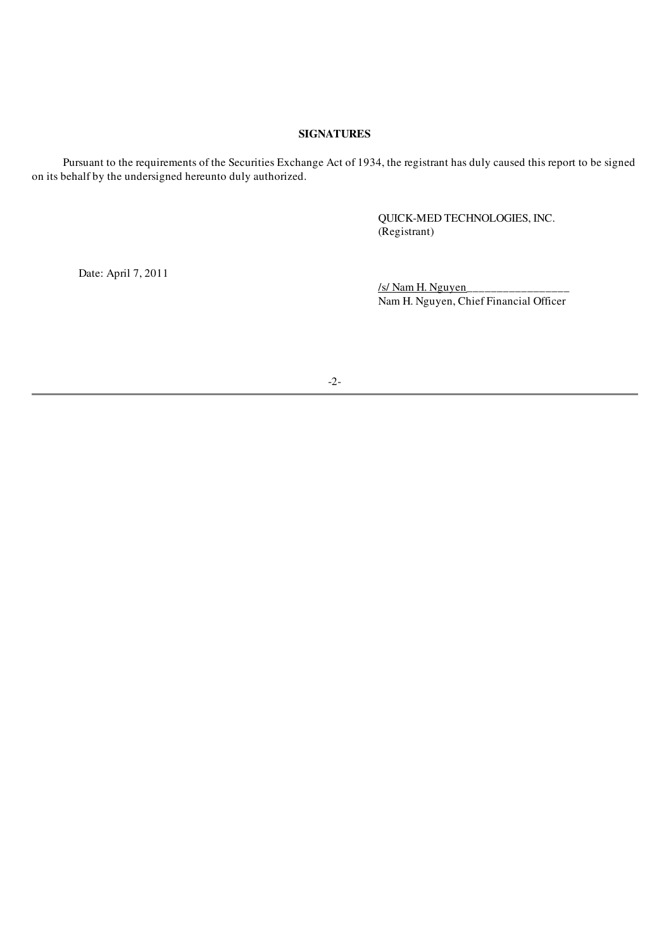# SIGNATURES

Pursuant to the requirements of the Securities Exchange Act of 1934, the registrant has duly caused this report to be signed on its behalf by the undersigned hereunto duly authorized.

> QUICK-MED TECHNOLOGIES, INC. (Registrant)

Date: April 7, 2011

/s/ Nam H. Nguyen\_\_\_\_\_\_\_\_\_\_\_\_\_\_\_\_\_ Nam H. Nguyen, Chief Financial Officer

-2-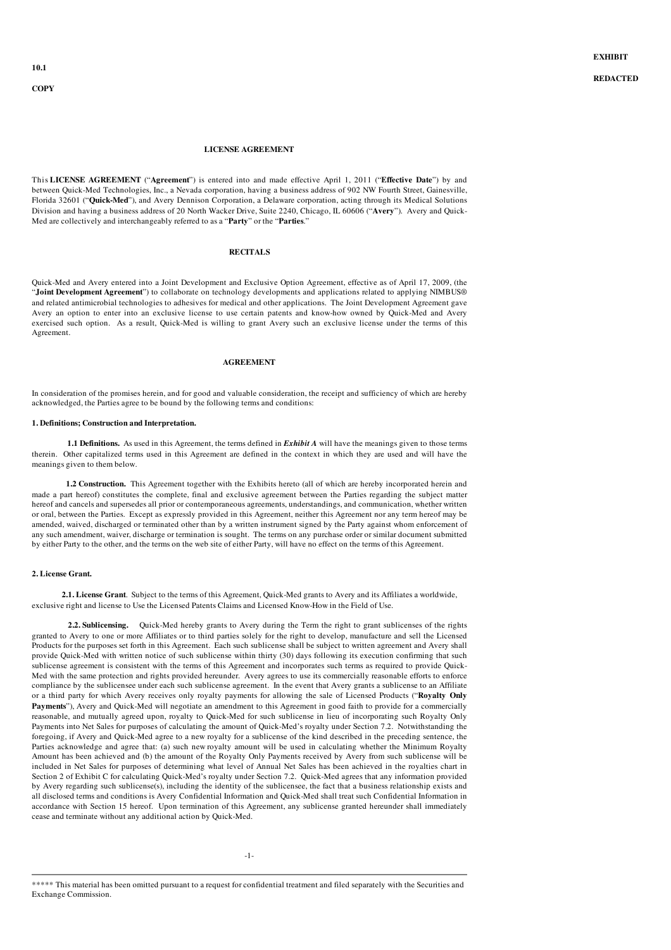**COPY** 

#### LICENSE AGREEMENT

This LICENSE AGREEMENT ("Agreement") is entered into and made effective April 1, 2011 ("Effective Date") by and between Quick-Med Technologies, Inc., a Nevada corporation, having a business address of 902 NW Fourth Street, Gainesville, Florida 32601 ("Quick-Med"), and Avery Dennison Corporation, a Delaware corporation, acting through its Medical Solutions Division and having a business address of 20 North Wacker Drive, Suite 2240, Chicago, IL 60606 ("Avery"). Avery and Quick-Med are collectively and interchangeably referred to as a "Party" or the "Parties."

## RECITALS

Quick-Med and Avery entered into a Joint Development and Exclusive Option Agreement, effective as of April 17, 2009, (the "Joint Development Agreement") to collaborate on technology developments and applications related to applying NIMBUS® and related antimicrobial technologies to adhesives for medical and other applications. The Joint Development Agreement gave Avery an option to enter into an exclusive license to use certain patents and know-how owned by Quick-Med and Avery exercised such option. As a result, Quick-Med is willing to grant Avery such an exclusive license under the terms of this Agreement.

### AGREEMENT

In consideration of the promises herein, and for good and valuable consideration, the receipt and sufficiency of which are hereby acknowledged, the Parties agree to be bound by the following terms and conditions:

#### 1. Definitions; Construction and Interpretation.

1.1 Definitions. As used in this Agreement, the terms defined in *Exhibit A* will have the meanings given to those terms therein. Other capitalized terms used in this Agreement are defined in the context in which they are used and will have the meanings given to them below.

1.2 Construction. This Agreement together with the Exhibits hereto (all of which are hereby incorporated herein and made a part hereof) constitutes the complete, final and exclusive agreement between the Parties regarding the subject matter hereof and cancels and supersedes all prior or contemporaneous agreements, understandings, and communication, whether written or oral, between the Parties. Except as expressly provided in this Agreement, neither this Agreement nor any term hereof may be amended, waived, discharged or terminated other than by a written instrument signed by the Party against whom enforcement of any such amendment, waiver, discharge or termination is sought. The terms on any purchase order or similar document submitted by either Party to the other, and the terms on the web site of either Party, will have no effect on the terms of this Agreement.

### 2. License Grant.

2.1. License Grant. Subject to the terms of this Agreement, Quick-Med grants to Avery and its Affiliates a worldwide, exclusive right and license to Use the Licensed Patents Claims and Licensed Know-How in the Field of Use.

2.2. Sublicensing. Quick-Med hereby grants to Avery during the Term the right to grant sublicenses of the rights granted to Avery to one or more Affiliates or to third parties solely for the right to develop, manufacture and sell the Licensed Products for the purposes set forth in this Agreement. Each such sublicense shall be subject to written agreement and Avery shall provide Quick-Med with written notice of such sublicense within thirty (30) days following its execution confirming that such sublicense agreement is consistent with the terms of this Agreement and incorporates such terms as required to provide Quick-Med with the same protection and rights provided hereunder. Avery agrees to use its commercially reasonable efforts to enforce compliance by the sublicensee under each such sublicense agreement. In the event that Avery grants a sublicense to an Affiliate or a third party for which Avery receives only royalty payments for allowing the sale of Licensed Products ("Royalty Only Payments"), Avery and Quick-Med will negotiate an amendment to this Agreement in good faith to provide for a commercially reasonable, and mutually agreed upon, royalty to Quick-Med for such sublicense in lieu of incorporating such Royalty Only Payments into Net Sales for purposes of calculating the amount of Quick-Med's royalty under Section 7.2. Notwithstanding the foregoing, if Avery and Quick-Med agree to a new royalty for a sublicense of the kind described in the preceding sentence, the Parties acknowledge and agree that: (a) such new royalty amount will be used in calculating whether the Minimum Royalty Amount has been achieved and (b) the amount of the Royalty Only Payments received by Avery from such sublicense will be included in Net Sales for purposes of determining what level of Annual Net Sales has been achieved in the royalties chart in Section 2 of Exhibit C for calculating Quick-Med's royalty under Section 7.2. Quick-Med agrees that any information provided by Avery regarding such sublicense(s), including the identity of the sublicensee, the fact that a business relationship exists and all disclosed terms and conditions is Avery Confidential Information and Quick-Med shall treat such Confidential Information in accordance with Section 15 hereof. Upon termination of this Agreement, any sublicense granted hereunder shall immediately cease and terminate without any additional action by Quick-Med.

<sup>\*\*\*\*\*</sup> This material has been omitted pursuant to a request for confidential treatment and filed separately with the Securities and Exchange Commission.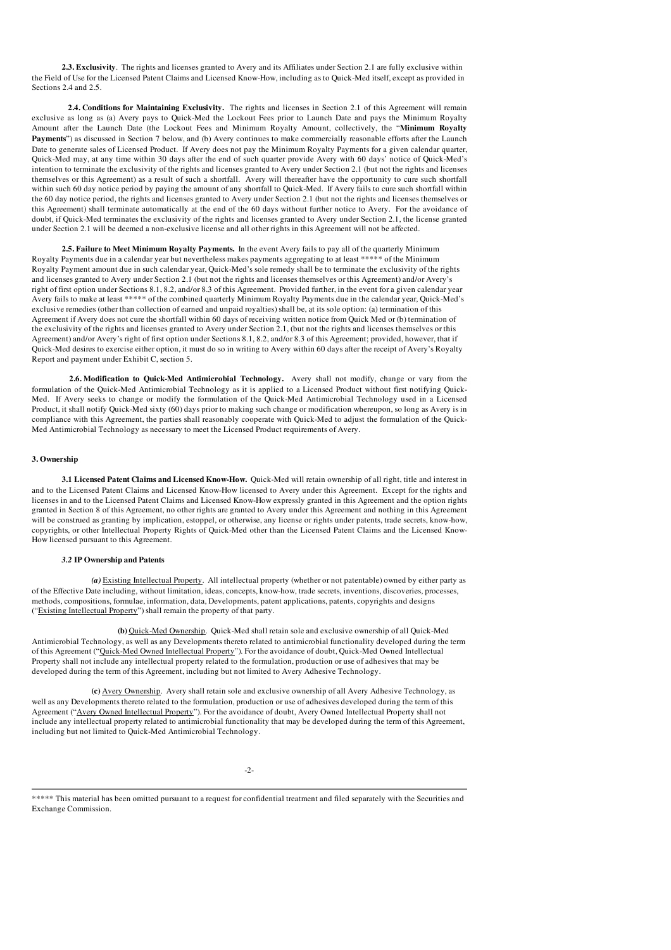2.3. Exclusivity. The rights and licenses granted to Avery and its Affiliates under Section 2.1 are fully exclusive within the Field of Use for the Licensed Patent Claims and Licensed Know-How, including as to Quick-Med itself, except as provided in Sections 2.4 and 2.5.

2.4. Conditions for Maintaining Exclusivity. The rights and licenses in Section 2.1 of this Agreement will remain exclusive as long as (a) Avery pays to Quick-Med the Lockout Fees prior to Launch Date and pays the Minimum Royalty Amount after the Launch Date (the Lockout Fees and Minimum Royalty Amount, collectively, the "Minimum Royalty Payments") as discussed in Section 7 below, and (b) Avery continues to make commercially reasonable efforts after the Launch Date to generate sales of Licensed Product. If Avery does not pay the Minimum Royalty Payments for a given calendar quarter, Quick-Med may, at any time within 30 days after the end of such quarter provide Avery with 60 days' notice of Quick-Med's intention to terminate the exclusivity of the rights and licenses granted to Avery under Section 2.1 (but not the rights and licenses themselves or this Agreement) as a result of such a shortfall. Avery will thereafter have the opportunity to cure such shortfall within such 60 day notice period by paying the amount of any shortfall to Quick-Med. If Avery fails to cure such shortfall within the 60 day notice period, the rights and licenses granted to Avery under Section 2.1 (but not the rights and licenses themselves or this Agreement) shall terminate automatically at the end of the 60 days without further notice to Avery. For the avoidance of doubt, if Quick-Med terminates the exclusivity of the rights and licenses granted to Avery under Section 2.1, the license granted under Section 2.1 will be deemed a non-exclusive license and all other rights in this Agreement will not be affected.

2.5. Failure to Meet Minimum Royalty Payments. In the event Avery fails to pay all of the quarterly Minimum Royalty Payments due in a calendar year but nevertheless makes payments aggregating to at least \*\*\*\*\* of the Minimum Royalty Payment amount due in such calendar year, Quick-Med's sole remedy shall be to terminate the exclusivity of the rights and licenses granted to Avery under Section 2.1 (but not the rights and licenses themselves or this Agreement) and/or Avery's right of first option under Sections 8.1, 8.2, and/or 8.3 of this Agreement. Provided further, in the event for a given calendar year Avery fails to make at least \*\*\*\*\* of the combined quarterly Minimum Royalty Payments due in the calendar year, Quick-Med's exclusive remedies (other than collection of earned and unpaid royalties) shall be, at its sole option: (a) termination of this Agreement if Avery does not cure the shortfall within 60 days of receiving written notice from Quick Med or (b) termination of the exclusivity of the rights and licenses granted to Avery under Section 2.1, (but not the rights and licenses themselves or this Agreement) and/or Avery's right of first option under Sections 8.1, 8.2, and/or 8.3 of this Agreement; provided, however, that if Quick-Med desires to exercise either option, it must do so in writing to Avery within 60 days after the receipt of Avery's Royalty Report and payment under Exhibit C, section 5.

2.6. Modification to Quick-Med Antimicrobial Technology. Avery shall not modify, change or vary from the formulation of the Quick-Med Antimicrobial Technology as it is applied to a Licensed Product without first notifying Quick-Med. If Avery seeks to change or modify the formulation of the Quick-Med Antimicrobial Technology used in a Licensed Product, it shall notify Quick-Med sixty (60) days prior to making such change or modification whereupon, so long as Avery is in compliance with this Agreement, the parties shall reasonably cooperate with Quick-Med to adjust the formulation of the Quick-Med Antimicrobial Technology as necessary to meet the Licensed Product requirements of Avery.

#### 3. Ownership

3.1 Licensed Patent Claims and Licensed Know-How. Quick-Med will retain ownership of all right, title and interest in and to the Licensed Patent Claims and Licensed Know-How licensed to Avery under this Agreement. Except for the rights and licenses in and to the Licensed Patent Claims and Licensed Know-How expressly granted in this Agreement and the option rights granted in Section 8 of this Agreement, no other rights are granted to Avery under this Agreement and nothing in this Agreement will be construed as granting by implication, estoppel, or otherwise, any license or rights under patents, trade secrets, know-how, copyrights, or other Intellectual Property Rights of Quick-Med other than the Licensed Patent Claims and the Licensed Know-How licensed pursuant to this Agreement.

#### *3.2* IP Ownership and Patents

*(a)* Existing Intellectual Property. All intellectual property (whether or not patentable) owned by either party as of the Effective Date including, without limitation, ideas, concepts, know-how, trade secrets, inventions, discoveries, processes, methods, compositions, formulae, information, data, Developments, patent applications, patents, copyrights and designs ("Existing Intellectual Property") shall remain the property of that party.

(b) Quick-Med Ownership. Quick-Med shall retain sole and exclusive ownership of all Quick-Med Antimicrobial Technology, as well as any Developments thereto related to antimicrobial functionality developed during the term of this Agreement ("Quick-Med Owned Intellectual Property"). For the avoidance of doubt, Quick-Med Owned Intellectual Property shall not include any intellectual property related to the formulation, production or use of adhesives that may be developed during the term of this Agreement, including but not limited to Avery Adhesive Technology.

(c) Avery Ownership. Avery shall retain sole and exclusive ownership of all Avery Adhesive Technology, as well as any Developments thereto related to the formulation, production or use of adhesives developed during the term of this Agreement ("Avery Owned Intellectual Property"). For the avoidance of doubt, Avery Owned Intellectual Property shall not include any intellectual property related to antimicrobial functionality that may be developed during the term of this Agreement, including but not limited to Quick-Med Antimicrobial Technology.

-2-

<sup>\*\*\*\*\*</sup> This material has been omitted pursuant to a request for confidential treatment and filed separately with the Securities and Exchange Commission.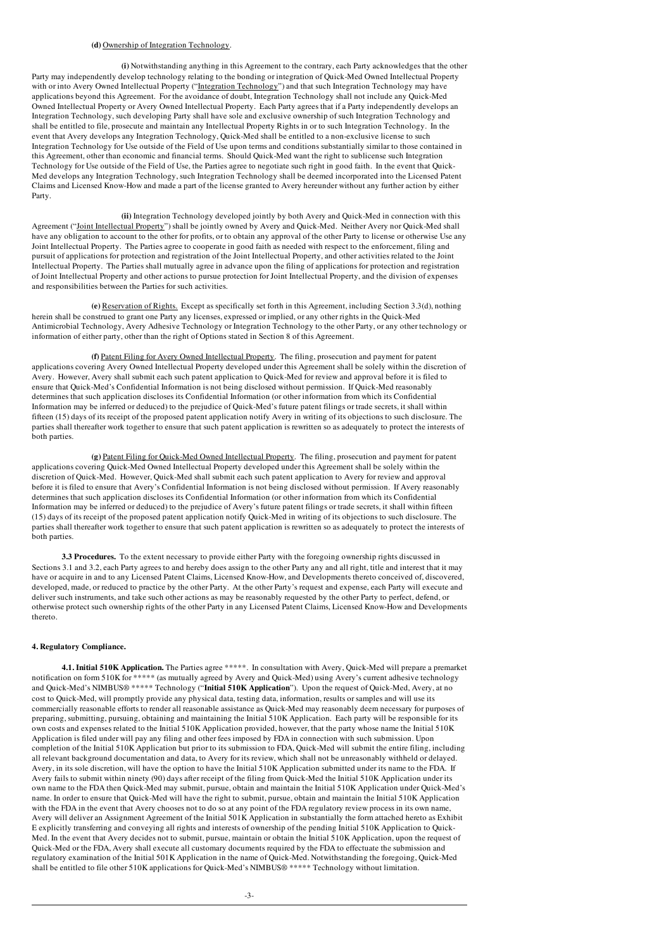#### (d) Ownership of Integration Technology.

(i) Notwithstanding anything in this Agreement to the contrary, each Party acknowledges that the other Party may independently develop technology relating to the bonding or integration of Quick-Med Owned Intellectual Property with or into Avery Owned Intellectual Property ("Integration Technology") and that such Integration Technology may have applications beyond this Agreement. For the avoidance of doubt, Integration Technology shall not include any Quick-Med Owned Intellectual Property or Avery Owned Intellectual Property. Each Party agrees that if a Party independently develops an Integration Technology, such developing Party shall have sole and exclusive ownership of such Integration Technology and shall be entitled to file, prosecute and maintain any Intellectual Property Rights in or to such Integration Technology. In the event that Avery develops any Integration Technology, Quick-Med shall be entitled to a non-exclusive license to such Integration Technology for Use outside of the Field of Use upon terms and conditions substantially similar to those contained in this Agreement, other than economic and financial terms. Should Quick-Med want the right to sublicense such Integration Technology for Use outside of the Field of Use, the Parties agree to negotiate such right in good faith. In the event that Quick-Med develops any Integration Technology, such Integration Technology shall be deemed incorporated into the Licensed Patent Claims and Licensed Know-How and made a part of the license granted to Avery hereunder without any further action by either Party.

(ii) Integration Technology developed jointly by both Avery and Quick-Med in connection with this Agreement ("Joint Intellectual Property") shall be jointly owned by Avery and Quick-Med. Neither Avery nor Quick-Med shall have any obligation to account to the other for profits, or to obtain any approval of the other Party to license or otherwise Use any Joint Intellectual Property. The Parties agree to cooperate in good faith as needed with respect to the enforcement, filing and pursuit of applications for protection and registration of the Joint Intellectual Property, and other activities related to the Joint Intellectual Property. The Parties shall mutually agree in advance upon the filing of applications for protection and registration of Joint Intellectual Property and other actions to pursue protection for Joint Intellectual Property, and the division of expenses and responsibilities between the Parties for such activities.

(e) Reservation of Rights. Except as specifically set forth in this Agreement, including Section 3.3(d), nothing herein shall be construed to grant one Party any licenses, expressed or implied, or any other rights in the Quick-Med Antimicrobial Technology, Avery Adhesive Technology or Integration Technology to the other Party, or any other technology or information of either party, other than the right of Options stated in Section 8 of this Agreement.

(f) Patent Filing for Avery Owned Intellectual Property. The filing, prosecution and payment for patent applications covering Avery Owned Intellectual Property developed under this Agreement shall be solely within the discretion of Avery. However, Avery shall submit each such patent application to Quick-Med for review and approval before it is filed to ensure that Quick-Med's Confidential Information is not being disclosed without permission. If Quick-Med reasonably determines that such application discloses its Confidential Information (or other information from which its Confidential Information may be inferred or deduced) to the prejudice of Quick-Med's future patent filings or trade secrets, it shall within fifteen (15) days of its receipt of the proposed patent application notify Avery in writing of its objections to such disclosure. The parties shall thereafter work together to ensure that such patent application is rewritten so as adequately to protect the interests of both parties.

(g) Patent Filing for Quick-Med Owned Intellectual Property. The filing, prosecution and payment for patent applications covering Quick-Med Owned Intellectual Property developed under this Agreement shall be solely within the discretion of Quick-Med. However, Quick-Med shall submit each such patent application to Avery for review and approval before it is filed to ensure that Avery's Confidential Information is not being disclosed without permission. If Avery reasonably determines that such application discloses its Confidential Information (or other information from which its Confidential Information may be inferred or deduced) to the prejudice of Avery's future patent filings or trade secrets, it shall within fifteen (15) days of its receipt of the proposed patent application notify Quick-Med in writing of its objections to such disclosure. The parties shall thereafter work together to ensure that such patent application is rewritten so as adequately to protect the interests of both parties.

3.3 Procedures. To the extent necessary to provide either Party with the foregoing ownership rights discussed in Sections 3.1 and 3.2, each Party agrees to and hereby does assign to the other Party any and all right, title and interest that it may have or acquire in and to any Licensed Patent Claims, Licensed Know-How, and Developments thereto conceived of, discovered, developed, made, or reduced to practice by the other Party. At the other Party's request and expense, each Party will execute and deliver such instruments, and take such other actions as may be reasonably requested by the other Party to perfect, defend, or otherwise protect such ownership rights of the other Party in any Licensed Patent Claims, Licensed Know-How and Developments thereto.

#### 4. Regulatory Compliance.

4.1. Initial 510K Application. The Parties agree \*\*\*\*\*. In consultation with Avery, Quick-Med will prepare a premarket notification on form 510K for \*\*\*\*\* (as mutually agreed by Avery and Quick-Med) using Avery's current adhesive technology and Quick-Med's NIMBUS® \*\*\*\*\* Technology ("Initial 510K Application"). Upon the request of Quick-Med, Avery, at no cost to Quick-Med, will promptly provide any physical data, testing data, information, results or samples and will use its commercially reasonable efforts to render all reasonable assistance as Quick-Med may reasonably deem necessary for purposes of preparing, submitting, pursuing, obtaining and maintaining the Initial 510K Application. Each party will be responsible for its own costs and expenses related to the Initial 510K Application provided, however, that the party whose name the Initial 510K Application is filed under will pay any filing and other fees imposed by FDA in connection with such submission. Upon completion of the Initial 510K Application but prior to its submission to FDA, Quick-Med will submit the entire filing, including all relevant background documentation and data, to Avery for its review, which shall not be unreasonably withheld or delayed. Avery, in its sole discretion, will have the option to have the Initial 510K Application submitted under its name to the FDA. If Avery fails to submit within ninety (90) days after receipt of the filing from Quick-Med the Initial 510K Application under its own name to the FDA then Quick-Med may submit, pursue, obtain and maintain the Initial 510K Application under Quick-Med's name. In order to ensure that Quick-Med will have the right to submit, pursue, obtain and maintain the Initial 510K Application with the FDA in the event that Avery chooses not to do so at any point of the FDA regulatory review process in its own name, Avery will deliver an Assignment Agreement of the Initial 501K Application in substantially the form attached hereto as Exhibit E explicitly transferring and conveying all rights and interests of ownership of the pending Initial 510K Application to Quick-Med. In the event that Avery decides not to submit, pursue, maintain or obtain the Initial 510K Application, upon the request of Quick-Med or the FDA, Avery shall execute all customary documents required by the FDA to effectuate the submission and regulatory examination of the Initial 501K Application in the name of Quick-Med. Notwithstanding the foregoing, Quick-Med shall be entitled to file other 510K applications for Quick-Med's NIMBUS® \*\*\*\*\* Technology without limitation.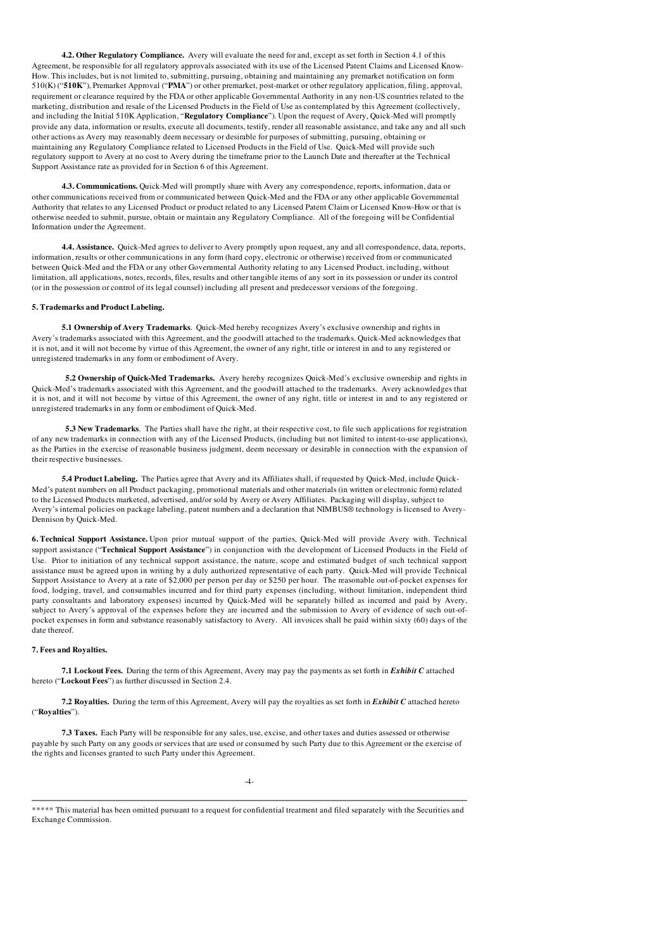4.2. Other Regulatory Compliance. Avery will evaluate the need for and, except as set forth in Section 4.1 of this Agreement, be responsible for all regulatory approvals associated with its use of the Licensed Patent Claims and Licensed Know-How. This includes, but is not limited to, submitting, pursuing, obtaining and maintaining any premarket notification on form 510(K) ("510K"), Premarket Approval ("PMA") or other premarket, post-market or other regulatory application, filing, approval, requirement or clearance required by the FDA or other applicable Governmental Authority in any non-US countries related to the marketing, distribution and resale of the Licensed Products in the Field of Use as contemplated by this Agreement (collectively, and including the Initial 510K Application, "Regulatory Compliance"). Upon the request of Avery, Quick-Med will promptly provide any data, information or results, execute all documents, testify, render all reasonable assistance, and take any and all such other actions as Avery may reasonably deem necessary or desirable for purposes of submitting, pursuing, obtaining or maintaining any Regulatory Compliance related to Licensed Products in the Field of Use. Quick-Med will provide such regulatory support to Avery at no cost to Avery during the timeframe prior to the Launch Date and thereafter at the Technical Support Assistance rate as provided for in Section 6 of this Agreement.

4.3. Communications. Quick-Med will promptly share with Avery any correspondence, reports, information, data or other communications received from or communicated between Quick-Med and the FDA or any other applicable Governmental Authority that relates to any Licensed Product or product related to any Licensed Patent Claim or Licensed Know-How or that is otherwise needed to submit, pursue, obtain or maintain any Regulatory Compliance. All of the foregoing will be Confidential Information under the Agreement.

4.4. Assistance. Quick-Med agrees to deliver to Avery promptly upon request, any and all correspondence, data, reports, information, results or other communications in any form (hard copy, electronic or otherwise) received from or communicated between Quick-Med and the FDA or any other Governmental Authority relating to any Licensed Product, including, without limitation, all applications, notes, records, files, results and other tangible items of any sort in its possession or under its control (or in the possession or control of its legal counsel) including all present and predecessor versions of the foregoing.

#### 5. Trademarks and Product Labeling.

5.1 Ownership of Avery Trademarks. Quick-Med hereby recognizes Avery's exclusive ownership and rights in Avery's trademarks associated with this Agreement, and the goodwill attached to the trademarks. Quick-Med acknowledges that it is not, and it will not become by virtue of this Agreement, the owner of any right, title or interest in and to any registered or unregistered trademarks in any form or embodiment of Avery.

5.2 Ownership of Quick-Med Trademarks. Avery hereby recognizes Quick-Med's exclusive ownership and rights in Quick-Med's trademarks associated with this Agreement, and the goodwill attached to the trademarks. Avery acknowledges that it is not, and it will not become by virtue of this Agreement, the owner of any right, title or interest in and to any registered or unregistered trademarks in any form or embodiment of Quick-Med.

5.3 New Trademarks. The Parties shall have the right, at their respective cost, to file such applications for registration of any new trademarks in connection with any of the Licensed Products, (including but not limited to intent-to-use applications), as the Parties in the exercise of reasonable business judgment, deem necessary or desirable in connection with the expansion of their respective businesses.

5.4 Product Labeling. The Parties agree that Avery and its Affiliates shall, if requested by Quick-Med, include Quick-Med's patent numbers on all Product packaging, promotional materials and other materials (in written or electronic form) related to the Licensed Products marketed, advertised, and/or sold by Avery or Avery Affiliates. Packaging will display, subject to Avery's internal policies on package labeling, patent numbers and a declaration that NIMBUS® technology is licensed to Avery-Dennison by Quick-Med.

6. Technical Support Assistance. Upon prior mutual support of the parties, Quick-Med will provide Avery with. Technical support assistance ("Technical Support Assistance") in conjunction with the development of Licensed Products in the Field of Use. Prior to initiation of any technical support assistance, the nature, scope and estimated budget of such technical support assistance must be agreed upon in writing by a duly authorized representative of each party. Quick-Med will provide Technical Support Assistance to Avery at a rate of \$2,000 per person per day or \$250 per hour. The reasonable out-of-pocket expenses for food, lodging, travel, and consumables incurred and for third party expenses (including, without limitation, independent third party consultants and laboratory expenses) incurred by Quick-Med will be separately billed as incurred and paid by Avery, subject to Avery's approval of the expenses before they are incurred and the submission to Avery of evidence of such out-ofpocket expenses in form and substance reasonably satisfactory to Avery. All invoices shall be paid within sixty (60) days of the date thereof.

#### 7. Fees and Royalties.

7.1 Lockout Fees. During the term of this Agreement, Avery may pay the payments as set forth in *Exhibit C* attached hereto ("Lockout Fees") as further discussed in Section 2.4.

7.2 Royalties. During the term of this Agreement, Avery will pay the royalties as set forth in *Exhibit C* attached hereto ("Royalties").

7.3 Taxes. Each Party will be responsible for any sales, use, excise, and other taxes and duties assessed or otherwise payable by such Party on any goods or services that are used or consumed by such Party due to this Agreement or the exercise of the rights and licenses granted to such Party under this Agreement.

-4-

<sup>\*\*\*\*\*</sup> This material has been omitted pursuant to a request for confidential treatment and filed separately with the Securities and Exchange Commission.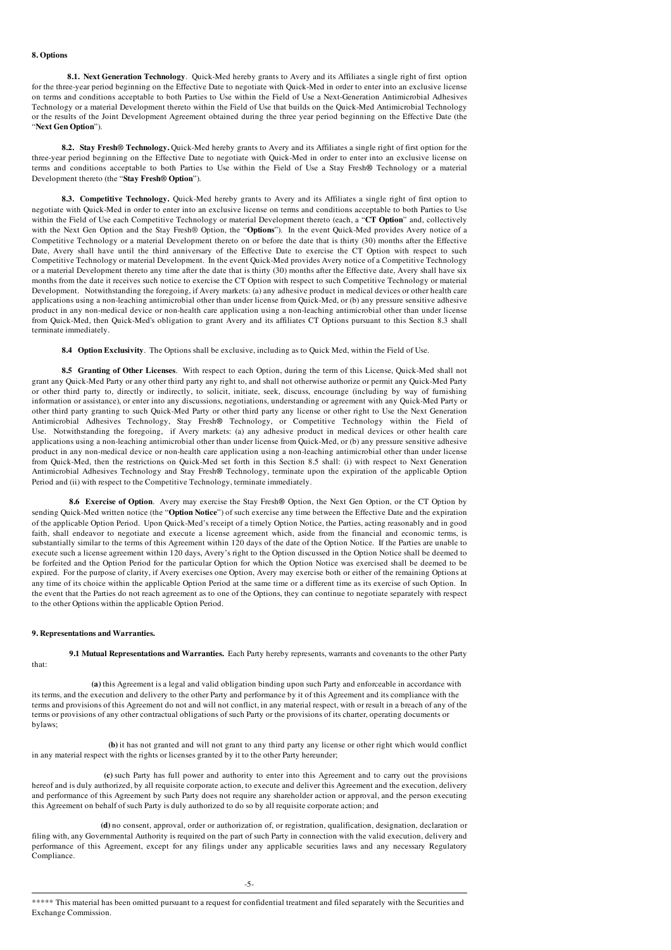#### 8. Options

8.1. Next Generation Technology. Quick-Med hereby grants to Avery and its Affiliates a single right of first option for the three-year period beginning on the Effective Date to negotiate with Quick-Med in order to enter into an exclusive license on terms and conditions acceptable to both Parties to Use within the Field of Use a Next-Generation Antimicrobial Adhesives Technology or a material Development thereto within the Field of Use that builds on the Quick-Med Antimicrobial Technology or the results of the Joint Development Agreement obtained during the three year period beginning on the Effective Date (the "Next Gen Option").

8.2. Stay Fresh® Technology. Quick-Med hereby grants to Avery and its Affiliates a single right of first option for the three-year period beginning on the Effective Date to negotiate with Quick-Med in order to enter into an exclusive license on terms and conditions acceptable to both Parties to Use within the Field of Use a Stay Fresh® Technology or a material Development thereto (the "Stay Fresh® Option").

8.3. Competitive Technology. Quick-Med hereby grants to Avery and its Affiliates a single right of first option to negotiate with Quick-Med in order to enter into an exclusive license on terms and conditions acceptable to both Parties to Use within the Field of Use each Competitive Technology or material Development thereto (each, a "CT Option" and, collectively with the Next Gen Option and the Stay Fresh® Option, the "Options"). In the event Quick-Med provides Avery notice of a Competitive Technology or a material Development thereto on or before the date that is thirty (30) months after the Effective Date, Avery shall have until the third anniversary of the Effective Date to exercise the CT Option with respect to such Competitive Technology or material Development. In the event Quick-Med provides Avery notice of a Competitive Technology or a material Development thereto any time after the date that is thirty (30) months after the Effective date, Avery shall have six months from the date it receives such notice to exercise the CT Option with respect to such Competitive Technology or material Development. Notwithstanding the foregoing, if Avery markets: (a) any adhesive product in medical devices or other health care applications using a non-leaching antimicrobial other than under license from Quick-Med, or (b) any pressure sensitive adhesive product in any non-medical device or non-health care application using a non-leaching antimicrobial other than under license from Quick-Med, then Quick-Med's obligation to grant Avery and its affiliates CT Options pursuant to this Section 8.3 shall terminate immediately.

8.4 Option Exclusivity. The Options shall be exclusive, including as to Quick Med, within the Field of Use.

8.5 Granting of Other Licenses. With respect to each Option, during the term of this License, Quick-Med shall not grant any Quick-Med Party or any other third party any right to, and shall not otherwise authorize or permit any Quick-Med Party or other third party to, directly or indirectly, to solicit, initiate, seek, discuss, encourage (including by way of furnishing information or assistance), or enter into any discussions, negotiations, understanding or agreement with any Quick-Med Party or other third party granting to such Quick-Med Party or other third party any license or other right to Use the Next Generation Antimicrobial Adhesives Technology, Stay Fresh® Technology, or Competitive Technology within the Field of Use. Notwithstanding the foregoing, if Avery markets: (a) any adhesive product in medical devices or other health care applications using a non-leaching antimicrobial other than under license from Quick-Med, or (b) any pressure sensitive adhesive product in any non-medical device or non-health care application using a non-leaching antimicrobial other than under license from Quick-Med, then the restrictions on Quick-Med set forth in this Section 8.5 shall: (i) with respect to Next Generation Antimicrobial Adhesives Technology and Stay Fresh® Technology, terminate upon the expiration of the applicable Option Period and (ii) with respect to the Competitive Technology, terminate immediately.

8.6 Exercise of Option. Avery may exercise the Stay Fresh® Option, the Next Gen Option, or the CT Option by sending Quick-Med written notice (the "Option Notice") of such exercise any time between the Effective Date and the expiration of the applicable Option Period. Upon Quick-Med's receipt of a timely Option Notice, the Parties, acting reasonably and in good faith, shall endeavor to negotiate and execute a license agreement which, aside from the financial and economic terms, is substantially similar to the terms of this Agreement within 120 days of the date of the Option Notice. If the Parties are unable to execute such a license agreement within 120 days, Avery's right to the Option discussed in the Option Notice shall be deemed to be forfeited and the Option Period for the particular Option for which the Option Notice was exercised shall be deemed to be expired. For the purpose of clarity, if Avery exercises one Option, Avery may exercise both or either of the remaining Options at any time of its choice within the applicable Option Period at the same time or a different time as its exercise of such Option. In the event that the Parties do not reach agreement as to one of the Options, they can continue to negotiate separately with respect to the other Options within the applicable Option Period.

#### 9. Representations and Warranties.

9.1 Mutual Representations and Warranties. Each Party hereby represents, warrants and covenants to the other Party

that:

bylaws;

(a) this Agreement is a legal and valid obligation binding upon such Party and enforceable in accordance with its terms, and the execution and delivery to the other Party and performance by it of this Agreement and its compliance with the terms and provisions of this Agreement do not and will not conflict, in any material respect, with or result in a breach of any of the terms or provisions of any other contractual obligations of such Party or the provisions of its charter, operating documents or

(b) it has not granted and will not grant to any third party any license or other right which would conflict in any material respect with the rights or licenses granted by it to the other Party hereunder;

(c) such Party has full power and authority to enter into this Agreement and to carry out the provisions hereof and is duly authorized, by all requisite corporate action, to execute and deliver this Agreement and the execution, delivery and performance of this Agreement by such Party does not require any shareholder action or approval, and the person executing this Agreement on behalf of such Party is duly authorized to do so by all requisite corporate action; and

(d) no consent, approval, order or authorization of, or registration, qualification, designation, declaration or filing with, any Governmental Authority is required on the part of such Party in connection with the valid execution, delivery and performance of this Agreement, except for any filings under any applicable securities laws and any necessary Regulatory Compliance.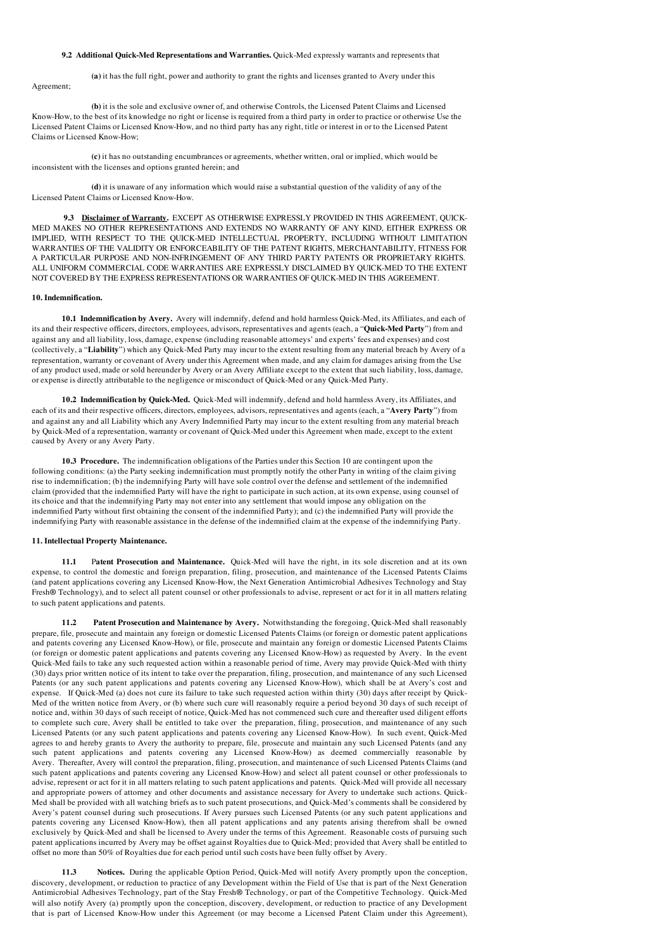#### 9.2 Additional Quick-Med Representations and Warranties. Quick-Med expressly warrants and represents that

(a) it has the full right, power and authority to grant the rights and licenses granted to Avery under this Agreement;

(b) it is the sole and exclusive owner of, and otherwise Controls, the Licensed Patent Claims and Licensed Know-How, to the best of its knowledge no right or license is required from a third party in order to practice or otherwise Use the Licensed Patent Claims or Licensed Know-How, and no third party has any right, title or interest in or to the Licensed Patent Claims or Licensed Know-How;

(c) it has no outstanding encumbrances or agreements, whether written, oral or implied, which would be inconsistent with the licenses and options granted herein; and

(d) it is unaware of any information which would raise a substantial question of the validity of any of the Licensed Patent Claims or Licensed Know-How.

9.3 Disclaimer of Warranty. EXCEPT AS OTHERWISE EXPRESSLY PROVIDED IN THIS AGREEMENT, QUICK-MED MAKES NO OTHER REPRESENTATIONS AND EXTENDS NO WARRANTY OF ANY KIND, EITHER EXPRESS OR IMPLIED, WITH RESPECT TO THE QUICK-MED INTELLECTUAL PROPERTY, INCLUDING WITHOUT LIMITATION WARRANTIES OF THE VALIDITY OR ENFORCEABILITY OF THE PATENT RIGHTS, MERCHANTABILITY, FITNESS FOR A PARTICULAR PURPOSE AND NON-INFRINGEMENT OF ANY THIRD PARTY PATENTS OR PROPRIETARY RIGHTS. ALL UNIFORM COMMERCIAL CODE WARRANTIES ARE EXPRESSLY DISCLAIMED BY QUICK-MED TO THE EXTENT NOT COVERED BY THE EXPRESS REPRESENTATIONS OR WARRANTIES OF QUICK-MED IN THIS AGREEMENT.

#### 10. Indemnification.

10.1 Indemnification by Avery. Avery will indemnify, defend and hold harmless Quick-Med, its Affiliates, and each of its and their respective officers, directors, employees, advisors, representatives and agents (each, a "Quick-Med Party") from and against any and all liability, loss, damage, expense (including reasonable attorneys' and experts' fees and expenses) and cost (collectively, a "Liability") which any Quick-Med Party may incur to the extent resulting from any material breach by Avery of a representation, warranty or covenant of Avery under this Agreement when made, and any claim for damages arising from the Use of any product used, made or sold hereunder by Avery or an Avery Affiliate except to the extent that such liability, loss, damage, or expense is directly attributable to the negligence or misconduct of Quick-Med or any Quick-Med Party.

10.2 Indemnification by Quick-Med. Quick-Med will indemnify, defend and hold harmless Avery, its Affiliates, and each of its and their respective officers, directors, employees, advisors, representatives and agents (each, a "Avery Party") from and against any and all Liability which any Avery Indemnified Party may incur to the extent resulting from any material breach by Quick-Med of a representation, warranty or covenant of Quick-Med under this Agreement when made, except to the extent caused by Avery or any Avery Party.

10.3 Procedure. The indemnification obligations of the Parties under this Section 10 are contingent upon the following conditions: (a) the Party seeking indemnification must promptly notify the other Party in writing of the claim giving rise to indemnification; (b) the indemnifying Party will have sole control over the defense and settlement of the indemnified claim (provided that the indemnified Party will have the right to participate in such action, at its own expense, using counsel of its choice and that the indemnifying Party may not enter into any settlement that would impose any obligation on the indemnified Party without first obtaining the consent of the indemnified Party); and (c) the indemnified Party will provide the indemnifying Party with reasonable assistance in the defense of the indemnified claim at the expense of the indemnifying Party.

#### 11. Intellectual Property Maintenance.

11.1 Patent Prosecution and Maintenance. Quick-Med will have the right, in its sole discretion and at its own expense, to control the domestic and foreign preparation, filing, prosecution, and maintenance of the Licensed Patents Claims (and patent applications covering any Licensed Know-How, the Next Generation Antimicrobial Adhesives Technology and Stay Fresh® Technology), and to select all patent counsel or other professionals to advise, represent or act for it in all matters relating to such patent applications and patents.

11.2 Patent Prosecution and Maintenance by Avery. Notwithstanding the foregoing, Quick-Med shall reasonably prepare, file, prosecute and maintain any foreign or domestic Licensed Patents Claims (or foreign or domestic patent applications and patents covering any Licensed Know-How), or file, prosecute and maintain any foreign or domestic Licensed Patents Claims (or foreign or domestic patent applications and patents covering any Licensed Know-How) as requested by Avery. In the event Quick-Med fails to take any such requested action within a reasonable period of time, Avery may provide Quick-Med with thirty (30) days prior written notice of its intent to take over the preparation, filing, prosecution, and maintenance of any such Licensed Patents (or any such patent applications and patents covering any Licensed Know-How), which shall be at Avery's cost and expense. If Quick-Med (a) does not cure its failure to take such requested action within thirty (30) days after receipt by Quick-Med of the written notice from Avery, or (b) where such cure will reasonably require a period beyond 30 days of such receipt of notice and, within 30 days of such receipt of notice, Quick-Med has not commenced such cure and thereafter used diligent efforts to complete such cure, Avery shall be entitled to take over the preparation, filing, prosecution, and maintenance of any such Licensed Patents (or any such patent applications and patents covering any Licensed Know-How). In such event, Quick-Med agrees to and hereby grants to Avery the authority to prepare, file, prosecute and maintain any such Licensed Patents (and any such patent applications and patents covering any Licensed Know-How) as deemed commercially reasonable by Avery. Thereafter, Avery will control the preparation, filing, prosecution, and maintenance of such Licensed Patents Claims (and such patent applications and patents covering any Licensed Know-How) and select all patent counsel or other professionals to advise, represent or act for it in all matters relating to such patent applications and patents. Quick-Med will provide all necessary and appropriate powers of attorney and other documents and assistance necessary for Avery to undertake such actions. Quick-Med shall be provided with all watching briefs as to such patent prosecutions, and Quick-Med's comments shall be considered by Avery's patent counsel during such prosecutions. If Avery pursues such Licensed Patents (or any such patent applications and patents covering any Licensed Know-How), then all patent applications and any patents arising therefrom shall be owned exclusively by Quick-Med and shall be licensed to Avery under the terms of this Agreement. Reasonable costs of pursuing such patent applications incurred by Avery may be offset against Royalties due to Quick-Med; provided that Avery shall be entitled to offset no more than 50% of Royalties due for each period until such costs have been fully offset by Avery.

Notices. During the applicable Option Period, Quick-Med will notify Avery promptly upon the conception, discovery, development, or reduction to practice of any Development within the Field of Use that is part of the Next Generation Antimicrobial Adhesives Technology, part of the Stay Fresh® Technology, or part of the Competitive Technology. Quick-Med will also notify Avery (a) promptly upon the conception, discovery, development, or reduction to practice of any Development that is part of Licensed Know-How under this Agreement (or may become a Licensed Patent Claim under this Agreement),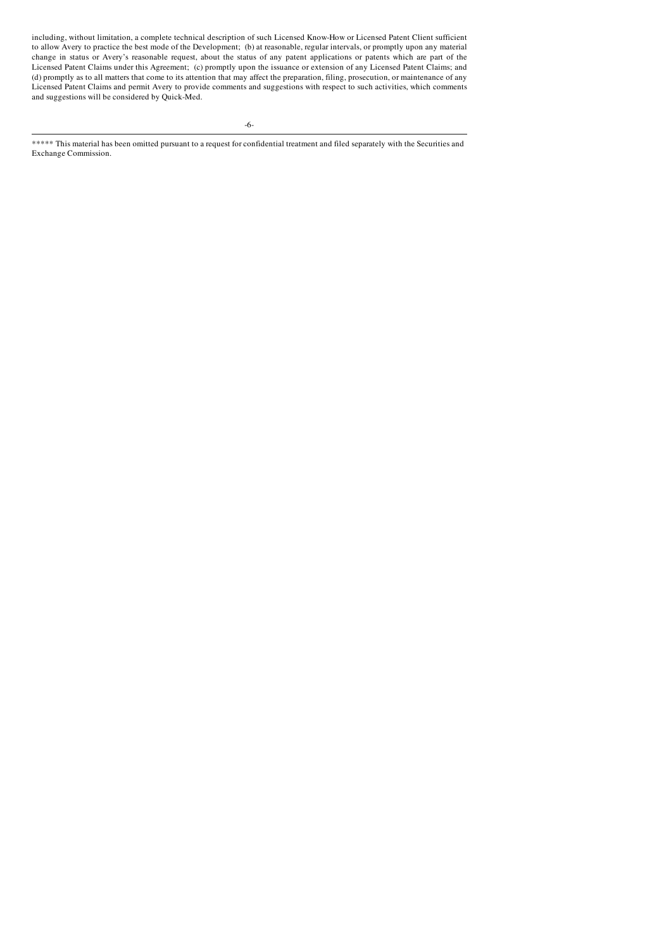including, without limitation, a complete technical description of such Licensed Know-How or Licensed Patent Client sufficient to allow Avery to practice the best mode of the Development; (b) at reasonable, regular intervals, or promptly upon any material change in status or Avery's reasonable request, about the status of any patent applications or patents which are part of the Licensed Patent Claims under this Agreement; (c) promptly upon the issuance or extension of any Licensed Patent Claims; and (d) promptly as to all matters that come to its attention that may affect the preparation, filing, prosecution, or maintenance of any Licensed Patent Claims and permit Avery to provide comments and suggestions with respect to such activities, which comments and suggestions will be considered by Quick-Med.

-6-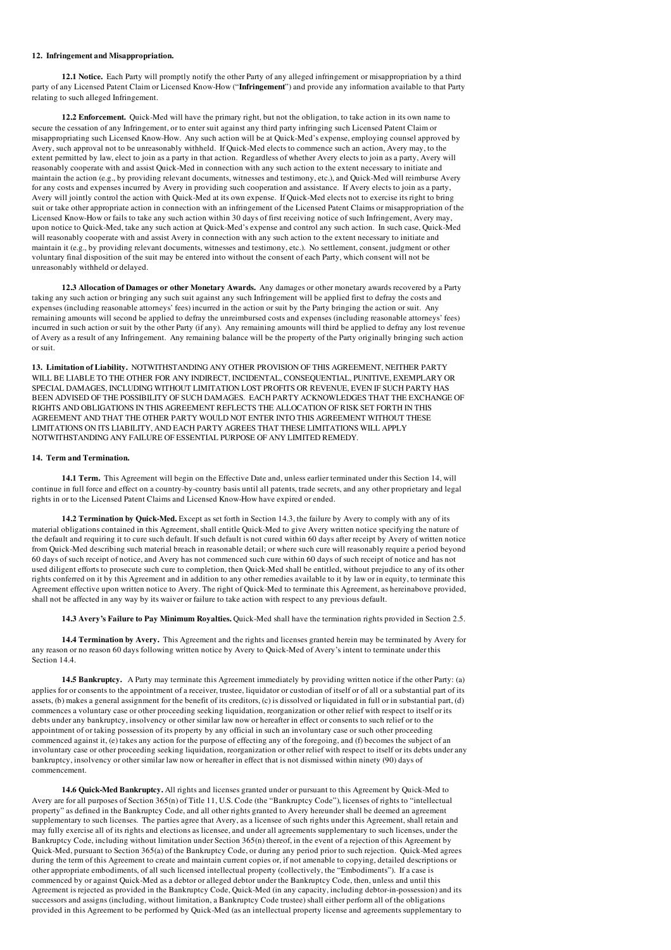#### 12. Infringement and Misappropriation.

12.1 Notice. Each Party will promptly notify the other Party of any alleged infringement or misappropriation by a third party of any Licensed Patent Claim or Licensed Know-How ("Infringement") and provide any information available to that Party relating to such alleged Infringement.

12.2 Enforcement. Quick-Med will have the primary right, but not the obligation, to take action in its own name to secure the cessation of any Infringement, or to enter suit against any third party infringing such Licensed Patent Claim or misappropriating such Licensed Know-How. Any such action will be at Quick-Med's expense, employing counsel approved by Avery, such approval not to be unreasonably withheld. If Quick-Med elects to commence such an action, Avery may, to the extent permitted by law, elect to join as a party in that action. Regardless of whether Avery elects to join as a party, Avery will reasonably cooperate with and assist Quick-Med in connection with any such action to the extent necessary to initiate and maintain the action (e.g., by providing relevant documents, witnesses and testimony, etc.), and Quick-Med will reimburse Avery for any costs and expenses incurred by Avery in providing such cooperation and assistance. If Avery elects to join as a party, Avery will jointly control the action with Quick-Med at its own expense. If Quick-Med elects not to exercise its right to bring suit or take other appropriate action in connection with an infringement of the Licensed Patent Claims or misappropriation of the Licensed Know-How or fails to take any such action within 30 days of first receiving notice of such Infringement, Avery may, upon notice to Quick-Med, take any such action at Quick-Med's expense and control any such action. In such case, Quick-Med will reasonably cooperate with and assist Avery in connection with any such action to the extent necessary to initiate and maintain it (e.g., by providing relevant documents, witnesses and testimony, etc.). No settlement, consent, judgment or other voluntary final disposition of the suit may be entered into without the consent of each Party, which consent will not be unreasonably withheld or delayed.

12.3 Allocation of Damages or other Monetary Awards. Any damages or other monetary awards recovered by a Party taking any such action or bringing any such suit against any such Infringement will be applied first to defray the costs and expenses (including reasonable attorneys' fees) incurred in the action or suit by the Party bringing the action or suit. Any remaining amounts will second be applied to defray the unreimbursed costs and expenses (including reasonable attorneys' fees) incurred in such action or suit by the other Party (if any). Any remaining amounts will third be applied to defray any lost revenue of Avery as a result of any Infringement. Any remaining balance will be the property of the Party originally bringing such action or suit.

13. Limitation of Liability. NOTWITHSTANDING ANY OTHER PROVISION OF THIS AGREEMENT, NEITHER PARTY WILL BE LIABLE TO THE OTHER FOR ANY INDIRECT, INCIDENTAL, CONSEQUENTIAL, PUNITIVE, EXEMPLARY OR SPECIAL DAMAGES, INCLUDING WITHOUT LIMITATION LOST PROFITS OR REVENUE, EVEN IF SUCH PARTY HAS BEEN ADVISED OF THE POSSIBILITY OF SUCH DAMAGES. EACH PARTY ACKNOWLEDGES THAT THE EXCHANGE OF RIGHTS AND OBLIGATIONS IN THIS AGREEMENT REFLECTS THE ALLOCATION OF RISK SET FORTH IN THIS AGREEMENT AND THAT THE OTHER PARTY WOULD NOT ENTER INTO THIS AGREEMENT WITHOUT THESE LIMITATIONS ON ITS LIABILITY, AND EACH PARTY AGREES THAT THESE LIMITATIONS WILL APPLY NOTWITHSTANDING ANY FAILURE OF ESSENTIAL PURPOSE OF ANY LIMITED REMEDY.

#### 14. Term and Termination.

14.1 Term. This Agreement will begin on the Effective Date and, unless earlier terminated under this Section 14, will continue in full force and effect on a country-by-country basis until all patents, trade secrets, and any other proprietary and legal rights in or to the Licensed Patent Claims and Licensed Know-How have expired or ended.

14.2 Termination by Quick-Med. Except as set forth in Section 14.3, the failure by Avery to comply with any of its material obligations contained in this Agreement, shall entitle Quick-Med to give Avery written notice specifying the nature of the default and requiring it to cure such default. If such default is not cured within 60 days after receipt by Avery of written notice from Quick-Med describing such material breach in reasonable detail; or where such cure will reasonably require a period beyond 60 days of such receipt of notice, and Avery has not commenced such cure within 60 days of such receipt of notice and has not used diligent efforts to prosecute such cure to completion, then Quick-Med shall be entitled, without prejudice to any of its other rights conferred on it by this Agreement and in addition to any other remedies available to it by law or in equity, to terminate this Agreement effective upon written notice to Avery. The right of Quick-Med to terminate this Agreement, as hereinabove provided, shall not be affected in any way by its waiver or failure to take action with respect to any previous default.

14.3 Avery's Failure to Pay Minimum Royalties. Quick-Med shall have the termination rights provided in Section 2.5.

14.4 Termination by Avery. This Agreement and the rights and licenses granted herein may be terminated by Avery for any reason or no reason 60 days following written notice by Avery to Quick-Med of Avery's intent to terminate under this Section 14.4

14.5 Bankruptcy. A Party may terminate this Agreement immediately by providing written notice if the other Party: (a) applies for or consents to the appointment of a receiver, trustee, liquidator or custodian of itself or of all or a substantial part of its assets, (b) makes a general assignment for the benefit of its creditors, (c) is dissolved or liquidated in full or in substantial part, (d) commences a voluntary case or other proceeding seeking liquidation, reorganization or other relief with respect to itself or its debts under any bankruptcy, insolvency or other similar law now or hereafter in effect or consents to such relief or to the appointment of or taking possession of its property by any official in such an involuntary case or such other proceeding commenced against it, (e) takes any action for the purpose of effecting any of the foregoing, and (f) becomes the subject of an involuntary case or other proceeding seeking liquidation, reorganization or other relief with respect to itself or its debts under any bankruptcy, insolvency or other similar law now or hereafter in effect that is not dismissed within ninety (90) days of commencement.

14.6 Quick-Med Bankruptcy. All rights and licenses granted under or pursuant to this Agreement by Quick-Med to Avery are for all purposes of Section 365(n) of Title 11, U.S. Code (the "Bankruptcy Code"), licenses of rights to "intellectual property" as defined in the Bankruptcy Code, and all other rights granted to Avery hereunder shall be deemed an agreement supplementary to such licenses. The parties agree that Avery, as a licensee of such rights under this Agreement, shall retain and may fully exercise all of its rights and elections as licensee, and under all agreements supplementary to such licenses, under the Bankruptcy Code, including without limitation under Section 365(n) thereof, in the event of a rejection of this Agreement by Quick-Med, pursuant to Section 365(a) of the Bankruptcy Code, or during any period prior to such rejection. Quick-Med agrees during the term of this Agreement to create and maintain current copies or, if not amenable to copying, detailed descriptions or other appropriate embodiments, of all such licensed intellectual property (collectively, the "Embodiments"). If a case is commenced by or against Quick-Med as a debtor or alleged debtor under the Bankruptcy Code, then, unless and until this Agreement is rejected as provided in the Bankruptcy Code, Quick-Med (in any capacity, including debtor-in-possession) and its successors and assigns (including, without limitation, a Bankruptcy Code trustee) shall either perform all of the obligations provided in this Agreement to be performed by Quick-Med (as an intellectual property license and agreements supplementary to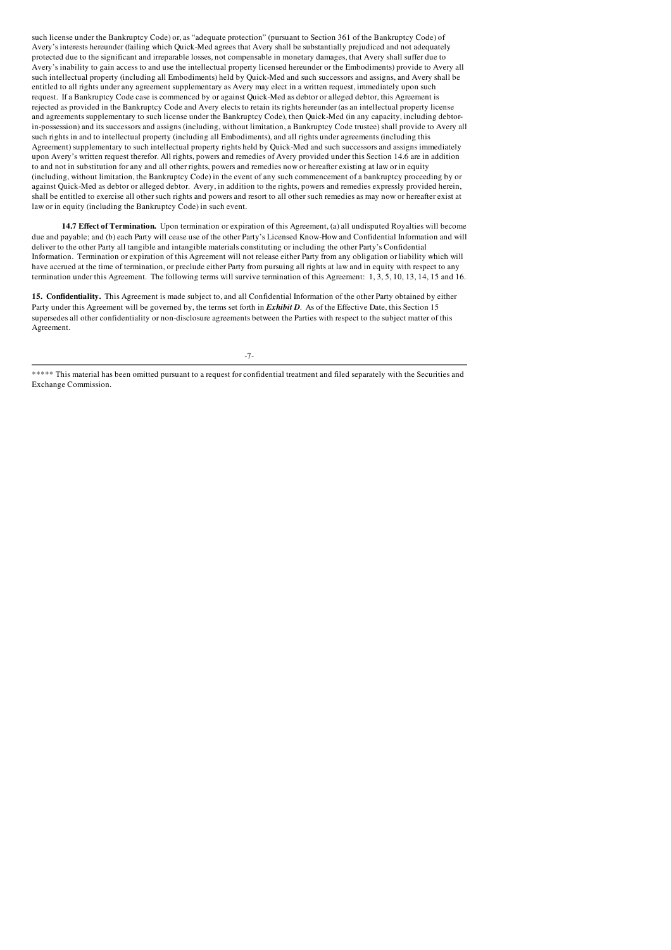such license under the Bankruptcy Code) or, as "adequate protection" (pursuant to Section 361 of the Bankruptcy Code) of Avery's interests hereunder (failing which Quick-Med agrees that Avery shall be substantially prejudiced and not adequately protected due to the significant and irreparable losses, not compensable in monetary damages, that Avery shall suffer due to Avery's inability to gain access to and use the intellectual property licensed hereunder or the Embodiments) provide to Avery all such intellectual property (including all Embodiments) held by Quick-Med and such successors and assigns, and Avery shall be entitled to all rights under any agreement supplementary as Avery may elect in a written request, immediately upon such request. If a Bankruptcy Code case is commenced by or against Quick-Med as debtor or alleged debtor, this Agreement is rejected as provided in the Bankruptcy Code and Avery elects to retain its rights hereunder (as an intellectual property license and agreements supplementary to such license under the Bankruptcy Code), then Quick-Med (in any capacity, including debtorin-possession) and its successors and assigns (including, without limitation, a Bankruptcy Code trustee) shall provide to Avery all such rights in and to intellectual property (including all Embodiments), and all rights under agreements (including this Agreement) supplementary to such intellectual property rights held by Quick-Med and such successors and assigns immediately upon Avery's written request therefor. All rights, powers and remedies of Avery provided under this Section 14.6 are in addition to and not in substitution for any and all other rights, powers and remedies now or hereafter existing at law or in equity (including, without limitation, the Bankruptcy Code) in the event of any such commencement of a bankruptcy proceeding by or against Quick-Med as debtor or alleged debtor. Avery, in addition to the rights, powers and remedies expressly provided herein, shall be entitled to exercise all other such rights and powers and resort to all other such remedies as may now or hereafter exist at law or in equity (including the Bankruptcy Code) in such event.

14.7 Effect of Termination. Upon termination or expiration of this Agreement, (a) all undisputed Royalties will become due and payable; and (b) each Party will cease use of the other Party's Licensed Know-How and Confidential Information and will deliver to the other Party all tangible and intangible materials constituting or including the other Party's Confidential Information. Termination or expiration of this Agreement will not release either Party from any obligation or liability which will have accrued at the time of termination, or preclude either Party from pursuing all rights at law and in equity with respect to any termination under this Agreement. The following terms will survive termination of this Agreement: 1, 3, 5, 10, 13, 14, 15 and 16.

15. Confidentiality. This Agreement is made subject to, and all Confidential Information of the other Party obtained by either Party under this Agreement will be governed by, the terms set forth in *Exhibit D*. As of the Effective Date, this Section 15 supersedes all other confidentiality or non-disclosure agreements between the Parties with respect to the subject matter of this Agreement.

-7-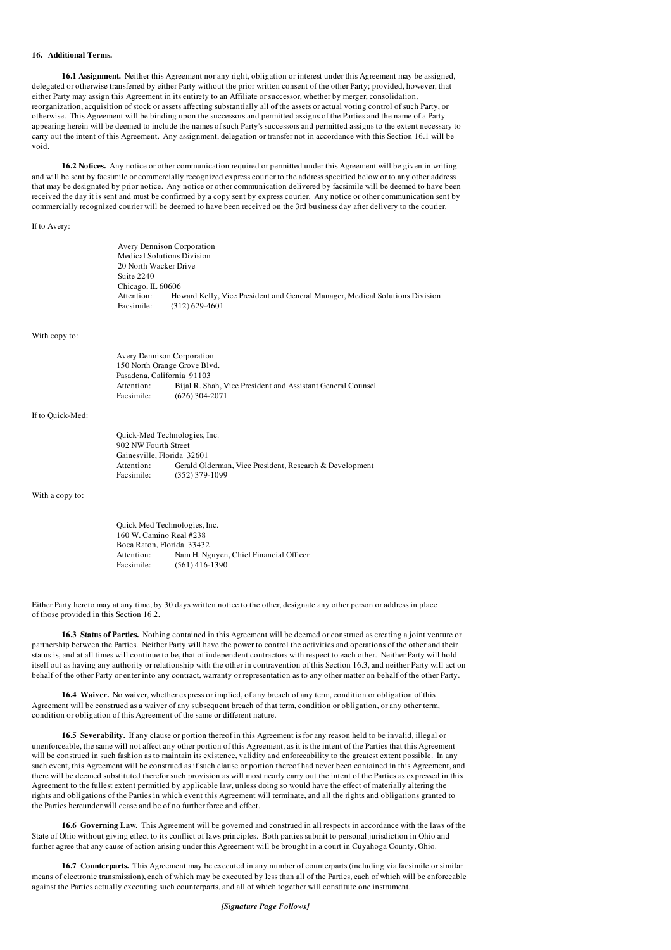#### 16. Additional Terms.

16.1 Assignment. Neither this Agreement nor any right, obligation or interest under this Agreement may be assigned, delegated or otherwise transferred by either Party without the prior written consent of the other Party; provided, however, that either Party may assign this Agreement in its entirety to an Affiliate or successor, whether by merger, consolidation, reorganization, acquisition of stock or assets affecting substantially all of the assets or actual voting control of such Party, or otherwise. This Agreement will be binding upon the successors and permitted assigns of the Parties and the name of a Party appearing herein will be deemed to include the names of such Party's successors and permitted assigns to the extent necessary to carry out the intent of this Agreement. Any assignment, delegation or transfer not in accordance with this Section 16.1 will be void.

16.2 Notices. Any notice or other communication required or permitted under this Agreement will be given in writing and will be sent by facsimile or commercially recognized express courier to the address specified below or to any other address that may be designated by prior notice. Any notice or other communication delivered by facsimile will be deemed to have been received the day it is sent and must be confirmed by a copy sent by express courier. Any notice or other communication sent by commercially recognized courier will be deemed to have been received on the 3rd business day after delivery to the courier.

If to Avery:

| <b>Avery Dennison Corporation</b> |                                                                                                  |
|-----------------------------------|--------------------------------------------------------------------------------------------------|
| <b>Medical Solutions Division</b> |                                                                                                  |
| 20 North Wacker Drive             |                                                                                                  |
| Suite 2240                        |                                                                                                  |
| Chicago, IL 60606                 |                                                                                                  |
| Attention:<br>Facsimile:          | Howard Kelly, Vice President and General Manager, Medical Solutions Division<br>$(312)$ 629-4601 |

#### With copy to:

| <b>Avery Dennison Corporation</b> |                                                             |
|-----------------------------------|-------------------------------------------------------------|
| 150 North Orange Grove Blvd.      |                                                             |
| Pasadena, California 91103        |                                                             |
| Attention:                        | Bijal R. Shah, Vice President and Assistant General Counsel |
| Facsimile:                        | $(626)$ 304-2071                                            |

#### If to Quick-Med:

| Quick-Med Technologies, Inc. |                                                         |
|------------------------------|---------------------------------------------------------|
| 902 NW Fourth Street         |                                                         |
| Gainesville, Florida 32601   |                                                         |
| Attention:                   | Gerald Olderman, Vice President, Research & Development |
| Facsimile:                   | $(352)$ 379-1099                                        |

#### With a copy to:

Quick Med Technologies, Inc. 160 W. Camino Real #238 Boca Raton, Florida 33432<br>Attention: Nam H. Ng Attention: Nam H. Nguyen, Chief Financial Officer<br>Facsimile:  $(561) 416-1390$  $(561)$  416-1390

Either Party hereto may at any time, by 30 days written notice to the other, designate any other person or address in place of those provided in this Section 16.2.

16.3 Status of Parties. Nothing contained in this Agreement will be deemed or construed as creating a joint venture or partnership between the Parties. Neither Party will have the power to control the activities and operations of the other and their status is, and at all times will continue to be, that of independent contractors with respect to each other. Neither Party will hold itself out as having any authority or relationship with the other in contravention of this Section 16.3, and neither Party will act on behalf of the other Party or enter into any contract, warranty or representation as to any other matter on behalf of the other Party.

16.4 Waiver. No waiver, whether express or implied, of any breach of any term, condition or obligation of this Agreement will be construed as a waiver of any subsequent breach of that term, condition or obligation, or any other term, condition or obligation of this Agreement of the same or different nature.

16.5 Severability. If any clause or portion thereof in this Agreement is for any reason held to be invalid, illegal or unenforceable, the same will not affect any other portion of this Agreement, as it is the intent of the Parties that this Agreement will be construed in such fashion as to maintain its existence, validity and enforceability to the greatest extent possible. In any such event, this Agreement will be construed as if such clause or portion thereof had never been contained in this Agreement, and there will be deemed substituted therefor such provision as will most nearly carry out the intent of the Parties as expressed in this Agreement to the fullest extent permitted by applicable law, unless doing so would have the effect of materially altering the rights and obligations of the Parties in which event this Agreement will terminate, and all the rights and obligations granted to the Parties hereunder will cease and be of no further force and effect.

16.6 Governing Law. This Agreement will be governed and construed in all respects in accordance with the laws of the State of Ohio without giving effect to its conflict of laws principles. Both parties submit to personal jurisdiction in Ohio and further agree that any cause of action arising under this Agreement will be brought in a court in Cuyahoga County, Ohio.

16.7 Counterparts. This Agreement may be executed in any number of counterparts (including via facsimile or similar means of electronic transmission), each of which may be executed by less than all of the Parties, each of which will be enforceable against the Parties actually executing such counterparts, and all of which together will constitute one instrument.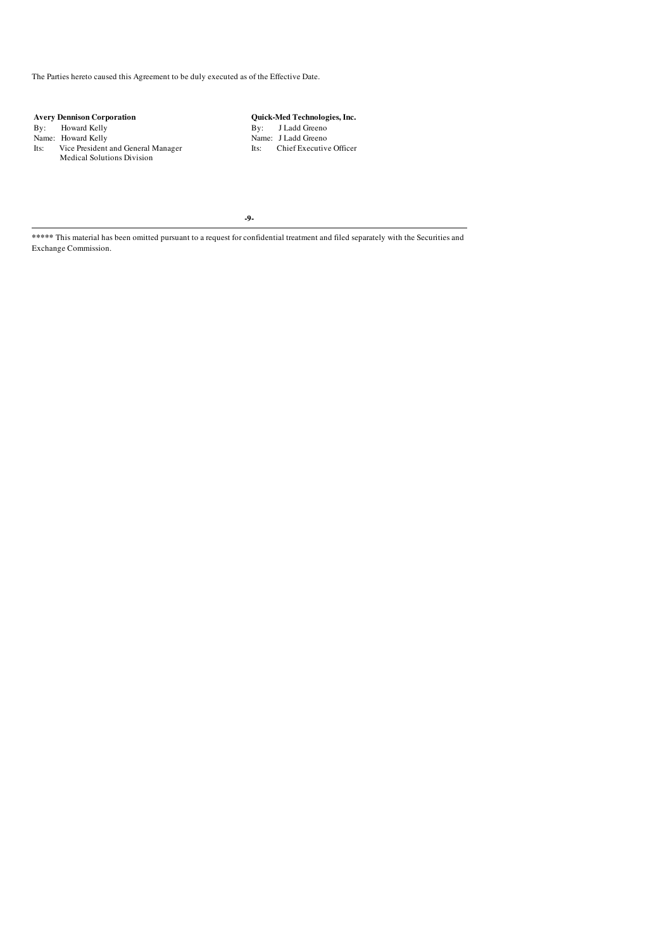The Parties hereto caused this Agreement to be duly executed as of the Effective Date.

Avery Dennison Corporation **Quick-Med Technologies, Inc.**<br>
By: Hadd Greeno Name: Howard Kelly By: J Ladd Greeno Name: Howard Kelly Name: J Ladd Greeno Name: Cice President and General Manager Its: Chief Executive Officer By: Howard Kelly By: J Ladd Greeno Name: Howard Kelly **Name: 1999** Name: 1 Ladd Greeno Its: Vice President and General Manager Its: Chief Executive Officer Medical Solutions Division

-9-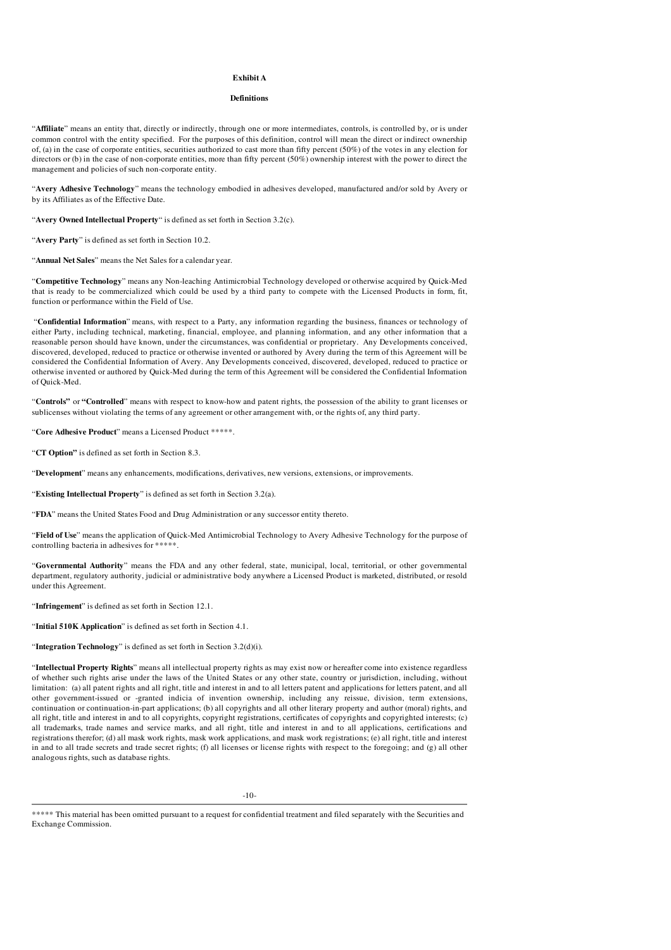#### Exhibit A

#### Definitions

"Affiliate" means an entity that, directly or indirectly, through one or more intermediates, controls, is controlled by, or is under common control with the entity specified. For the purposes of this definition, control will mean the direct or indirect ownership of, (a) in the case of corporate entities, securities authorized to cast more than fifty percent (50%) of the votes in any election for directors or (b) in the case of non-corporate entities, more than fifty percent (50%) ownership interest with the power to direct the management and policies of such non-corporate entity.

"Avery Adhesive Technology" means the technology embodied in adhesives developed, manufactured and/or sold by Avery or by its Affiliates as of the Effective Date.

"Avery Owned Intellectual Property" is defined as set forth in Section 3.2(c).

"Avery Party" is defined as set forth in Section 10.2.

"Annual Net Sales" means the Net Sales for a calendar year.

"Competitive Technology" means any Non-leaching Antimicrobial Technology developed or otherwise acquired by Quick-Med that is ready to be commercialized which could be used by a third party to compete with the Licensed Products in form, fit, function or performance within the Field of Use.

"Confidential Information" means, with respect to a Party, any information regarding the business, finances or technology of either Party, including technical, marketing, financial, employee, and planning information, and any other information that a reasonable person should have known, under the circumstances, was confidential or proprietary. Any Developments conceived, discovered, developed, reduced to practice or otherwise invented or authored by Avery during the term of this Agreement will be considered the Confidential Information of Avery. Any Developments conceived, discovered, developed, reduced to practice or otherwise invented or authored by Quick-Med during the term of this Agreement will be considered the Confidential Information of Quick-Med.

"Controls" or "Controlled" means with respect to know-how and patent rights, the possession of the ability to grant licenses or sublicenses without violating the terms of any agreement or other arrangement with, or the rights of, any third party.

"Core Adhesive Product" means a Licensed Product \*\*\*\*\*.

"CT Option" is defined as set forth in Section 8.3.

"Development" means any enhancements, modifications, derivatives, new versions, extensions, or improvements.

"Existing Intellectual Property" is defined as set forth in Section 3.2(a).

"FDA" means the United States Food and Drug Administration or any successor entity thereto.

"Field of Use" means the application of Quick-Med Antimicrobial Technology to Avery Adhesive Technology for the purpose of controlling bacteria in adhesives for \*\*\*\*\*.

"Governmental Authority" means the FDA and any other federal, state, municipal, local, territorial, or other governmental department, regulatory authority, judicial or administrative body anywhere a Licensed Product is marketed, distributed, or resold under this Agreement.

"Infringement" is defined as set forth in Section 12.1.

"Initial 510K Application" is defined as set forth in Section 4.1.

"Integration Technology" is defined as set forth in Section 3.2(d)(i).

"Intellectual Property Rights" means all intellectual property rights as may exist now or hereafter come into existence regardless of whether such rights arise under the laws of the United States or any other state, country or jurisdiction, including, without limitation: (a) all patent rights and all right, title and interest in and to all letters patent and applications for letters patent, and all other government-issued or -granted indicia of invention ownership, including any reissue, division, term extensions, continuation or continuation-in-part applications; (b) all copyrights and all other literary property and author (moral) rights, and all right, title and interest in and to all copyrights, copyright registrations, certificates of copyrights and copyrighted interests; (c) all trademarks, trade names and service marks, and all right, title and interest in and to all applications, certifications and registrations therefor; (d) all mask work rights, mask work applications, and mask work registrations; (e) all right, title and interest in and to all trade secrets and trade secret rights; (f) all licenses or license rights with respect to the foregoing; and (g) all other analogous rights, such as database rights.

-10-

<sup>\*\*\*\*\*</sup> This material has been omitted pursuant to a request for confidential treatment and filed separately with the Securities and Exchange Commission.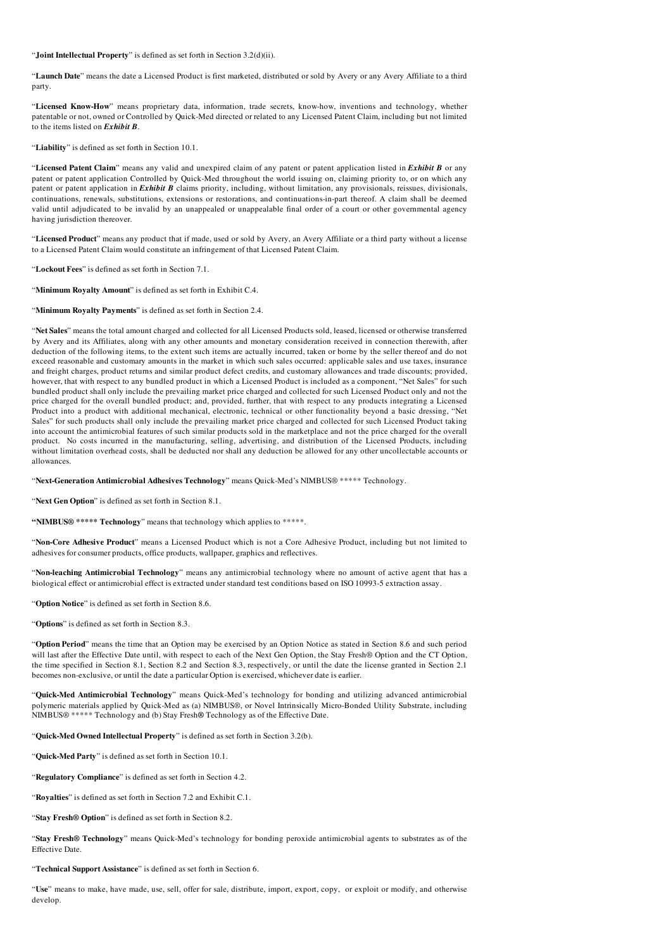#### "Joint Intellectual Property" is defined as set forth in Section 3.2(d)(ii).

"Launch Date" means the date a Licensed Product is first marketed, distributed or sold by Avery or any Avery Affiliate to a third party.

"Licensed Know-How" means proprietary data, information, trade secrets, know-how, inventions and technology, whether patentable or not, owned or Controlled by Quick-Med directed or related to any Licensed Patent Claim, including but not limited to the items listed on *Exhibit B*.

"Liability" is defined as set forth in Section 10.1.

"Licensed Patent Claim" means any valid and unexpired claim of any patent or patent application listed in *Exhibit B* or any patent or patent application Controlled by Quick-Med throughout the world issuing on, claiming priority to, or on which any patent or patent application in *Exhibit B* claims priority, including, without limitation, any provisionals, reissues, divisionals, continuations, renewals, substitutions, extensions or restorations, and continuations-in-part thereof. A claim shall be deemed valid until adjudicated to be invalid by an unappealed or unappealable final order of a court or other governmental agency having jurisdiction thereover.

"Licensed Product" means any product that if made, used or sold by Avery, an Avery Affiliate or a third party without a license to a Licensed Patent Claim would constitute an infringement of that Licensed Patent Claim.

"Lockout Fees" is defined as set forth in Section 7.1.

"Minimum Royalty Amount" is defined as set forth in Exhibit C.4.

"Minimum Royalty Payments" is defined as set forth in Section 2.4.

"Net Sales" means the total amount charged and collected for all Licensed Products sold, leased, licensed or otherwise transferred by Avery and its Affiliates, along with any other amounts and monetary consideration received in connection therewith, after deduction of the following items, to the extent such items are actually incurred, taken or borne by the seller thereof and do not exceed reasonable and customary amounts in the market in which such sales occurred: applicable sales and use taxes, insurance and freight charges, product returns and similar product defect credits, and customary allowances and trade discounts; provided, however, that with respect to any bundled product in which a Licensed Product is included as a component, "Net Sales" for such bundled product shall only include the prevailing market price charged and collected for such Licensed Product only and not the price charged for the overall bundled product; and, provided, further, that with respect to any products integrating a Licensed Product into a product with additional mechanical, electronic, technical or other functionality beyond a basic dressing, "Net Sales" for such products shall only include the prevailing market price charged and collected for such Licensed Product taking into account the antimicrobial features of such similar products sold in the marketplace and not the price charged for the overall product. No costs incurred in the manufacturing, selling, advertising, and distribution of the Licensed Products, including without limitation overhead costs, shall be deducted nor shall any deduction be allowed for any other uncollectable accounts or allowances.

"Next-Generation Antimicrobial Adhesives Technology" means Quick-Med's NIMBUS® \*\*\*\*\* Technology.

"Next Gen Option" is defined as set forth in Section 8.1.

"NIMBUS® \*\*\*\*\* Technology" means that technology which applies to \*\*\*\*\*.

"Non-Core Adhesive Product" means a Licensed Product which is not a Core Adhesive Product, including but not limited to adhesives for consumer products, office products, wallpaper, graphics and reflectives.

"Non-leaching Antimicrobial Technology" means any antimicrobial technology where no amount of active agent that has a biological effect or antimicrobial effect is extracted under standard test conditions based on ISO 10993-5 extraction assay.

"Option Notice" is defined as set forth in Section 8.6.

"Options" is defined as set forth in Section 8.3.

"Option Period" means the time that an Option may be exercised by an Option Notice as stated in Section 8.6 and such period will last after the Effective Date until, with respect to each of the Next Gen Option, the Stay Fresh® Option and the CT Option, the time specified in Section 8.1, Section 8.2 and Section 8.3, respectively, or until the date the license granted in Section 2.1 becomes non-exclusive, or until the date a particular Option is exercised, whichever date is earlier.

"Quick-Med Antimicrobial Technology" means Quick-Med's technology for bonding and utilizing advanced antimicrobial polymeric materials applied by Quick-Med as (a) NIMBUS®, or Novel Intrinsically Micro-Bonded Utility Substrate, including NIMBUS® \*\*\*\*\* Technology and (b) Stay Fresh® Technology as of the Effective Date.

"Quick-Med Owned Intellectual Property" is defined as set forth in Section 3.2(b).

"Quick-Med Party" is defined as set forth in Section 10.1.

"Regulatory Compliance" is defined as set forth in Section 4.2.

"Royalties" is defined as set forth in Section 7.2 and Exhibit C.1.

"Stay Fresh® Option" is defined as set forth in Section 8.2.

"Stay Fresh® Technology" means Quick-Med's technology for bonding peroxide antimicrobial agents to substrates as of the Effective Date.

"Technical Support Assistance" is defined as set forth in Section 6.

"Use" means to make, have made, use, sell, offer for sale, distribute, import, export, copy, or exploit or modify, and otherwise develop.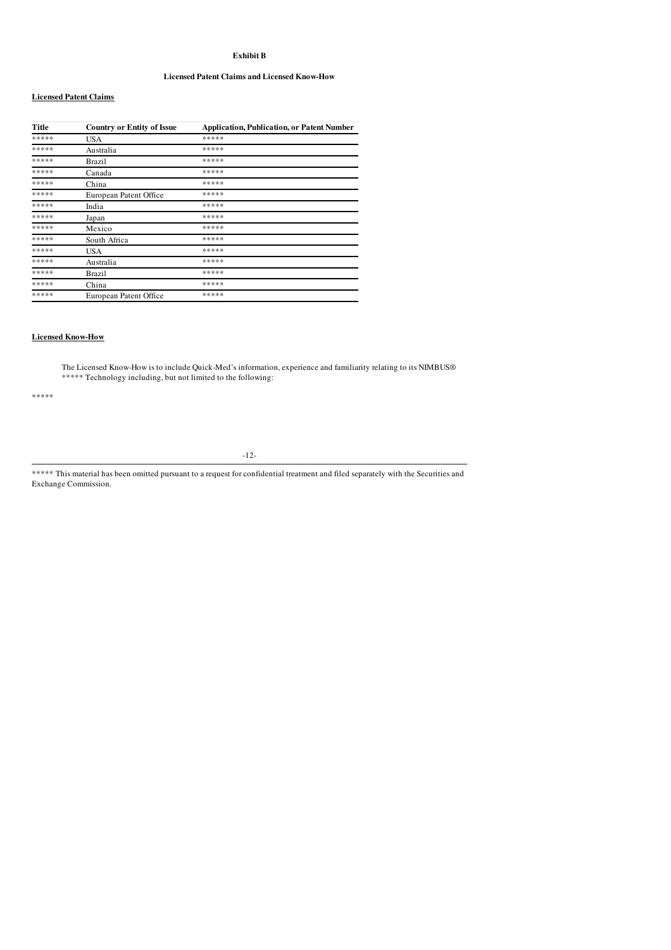# Exhibit B

#### Licensed Patent Claims and Licensed Know-How

#### Licensed Patent Claims

| Title | <b>Country or Entity of Issue</b> | <b>Application, Publication, or Patent Number</b> |
|-------|-----------------------------------|---------------------------------------------------|
| ***** | USA                               | *****                                             |
| ***** | Australia                         | *****                                             |
| ***** | Brazil                            | *****                                             |
| ***** | Canada                            | *****                                             |
| ***** | China                             | *****                                             |
| ***** | European Patent Office            | *****                                             |
| ***** | India                             | *****                                             |
| ***** | Japan                             | *****                                             |
| ***** | Mexico                            | *****                                             |
| ***** | South Africa                      | *****                                             |
| ***** | USA                               | *****                                             |
| ***** | Australia                         | *****                                             |
| ***** | Brazil                            | *****                                             |
| ***** | China                             | *****                                             |
| ***** | European Patent Office            | *****                                             |

# Licensed Know-How

The Licensed Know-How is to include Quick-Med's information, experience and familiarity relating to its NIMBUS® \*\*\*\*\* Technology including, but not limited to the following:

\*\*\*\*\*

-12-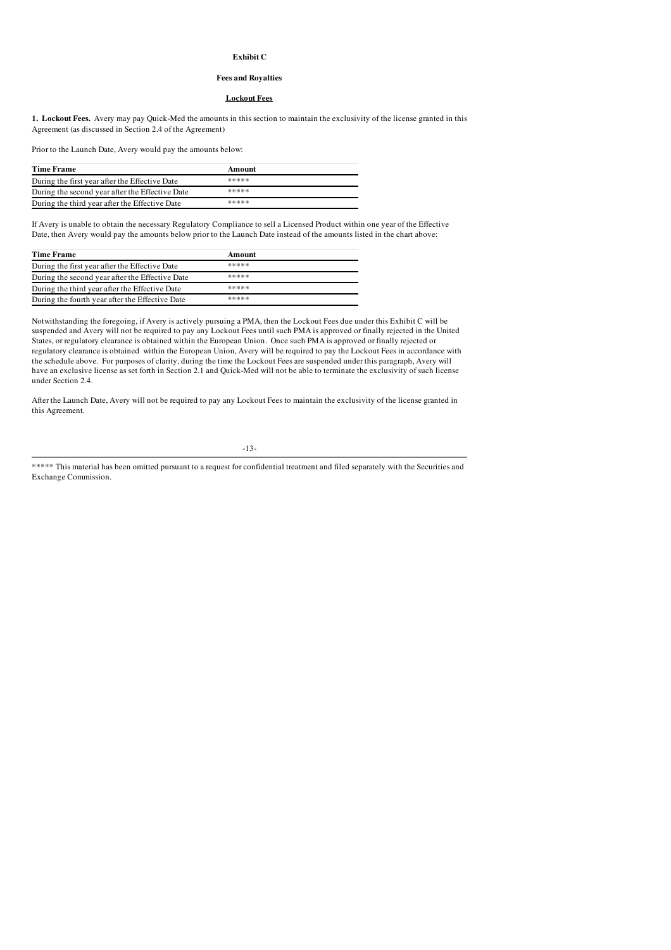#### Exhibit C

# Fees and Royalties

#### Lockout Fees

1. Lockout Fees. Avery may pay Quick-Med the amounts in this section to maintain the exclusivity of the license granted in this Agreement (as discussed in Section 2.4 of the Agreement)

Prior to the Launch Date, Avery would pay the amounts below:

| <b>Time Frame</b>                               | Amount |  |
|-------------------------------------------------|--------|--|
| During the first year after the Effective Date  | *****  |  |
| During the second year after the Effective Date | *****  |  |
| During the third year after the Effective Date  | *****  |  |

If Avery is unable to obtain the necessary Regulatory Compliance to sell a Licensed Product within one year of the Effective Date, then Avery would pay the amounts below prior to the Launch Date instead of the amounts listed in the chart above:

| <b>Time Frame</b>                               | Amount |
|-------------------------------------------------|--------|
| During the first year after the Effective Date  | *****  |
| During the second year after the Effective Date | *****  |
| During the third year after the Effective Date  | *****  |
| During the fourth year after the Effective Date | *****  |

Notwithstanding the foregoing, if Avery is actively pursuing a PMA, then the Lockout Fees due under this Exhibit C will be suspended and Avery will not be required to pay any Lockout Fees until such PMA is approved or finally rejected in the United States, or regulatory clearance is obtained within the European Union. Once such PMA is approved or finally rejected or regulatory clearance is obtained within the European Union, Avery will be required to pay the Lockout Fees in accordance with the schedule above. For purposes of clarity, during the time the Lockout Fees are suspended under this paragraph, Avery will have an exclusive license as set forth in Section 2.1 and Quick-Med will not be able to terminate the exclusivity of such license under Section 2.4.

After the Launch Date, Avery will not be required to pay any Lockout Fees to maintain the exclusivity of the license granted in this Agreement.

-13-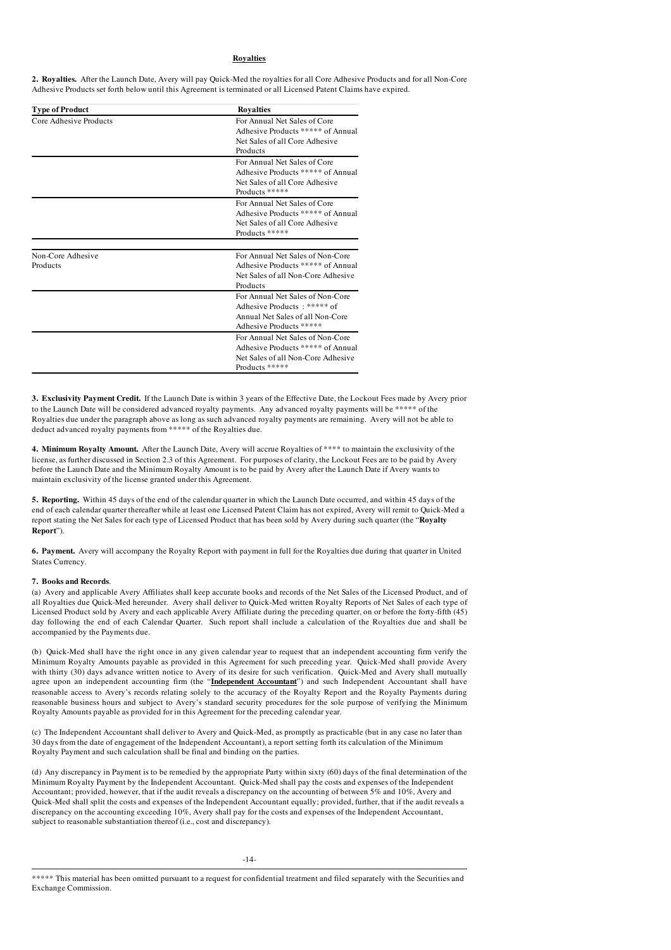# Royalties

2. Royalties. After the Launch Date, Avery will pay Quick-Med the royalties for all Core Adhesive Products and for all Non-Core Adhesive Products set forth below until this Agreement is terminated or all Licensed Patent Claims have expired.

| <b>Type of Product</b>        | <b>Royalties</b>                                                                                                                |
|-------------------------------|---------------------------------------------------------------------------------------------------------------------------------|
| Core Adhesive Products        | For Annual Net Sales of Core<br>Adhesive Products ***** of Annual<br>Net Sales of all Core Adhesive<br>Products                 |
|                               | For Annual Net Sales of Core<br>Adhesive Products ***** of Annual<br>Net Sales of all Core Adhesive<br>Products *****           |
|                               | For Annual Net Sales of Core<br>Adhesive Products ***** of Annual<br>Net Sales of all Core Adhesive<br>Products *****           |
| Non-Core Adhesive<br>Products | For Annual Net Sales of Non-Core<br>Adhesive Products ***** of Annual<br>Net Sales of all Non-Core Adhesive<br>Products         |
|                               | For Annual Net Sales of Non-Core<br>Adhesive Products: ****** of<br>Annual Net Sales of all Non-Core<br>Adhesive Products ***** |
|                               | For Annual Net Sales of Non-Core<br>Adhesive Products ***** of Annual<br>Net Sales of all Non-Core Adhesive<br>Products *****   |

3. Exclusivity Payment Credit. If the Launch Date is within 3 years of the Effective Date, the Lockout Fees made by Avery prior to the Launch Date will be considered advanced royalty payments. Any advanced royalty payments will be \*\*\*\*\* of the Royalties due under the paragraph above as long as such advanced royalty payments are remaining. Avery will not be able to deduct advanced royalty payments from \*\*\*\*\* of the Royalties due.

4. Minimum Royalty Amount. After the Launch Date, Avery will accrue Royalties of \*\*\*\* to maintain the exclusivity of the license, as further discussed in Section 2.3 of this Agreement. For purposes of clarity, the Lockout Fees are to be paid by Avery before the Launch Date and the Minimum Royalty Amount is to be paid by Avery after the Launch Date if Avery wants to maintain exclusivity of the license granted under this Agreement.

5. Reporting. Within 45 days of the end of the calendar quarter in which the Launch Date occurred, and within 45 days of the end of each calendar quarter thereafter while at least one Licensed Patent Claim has not expired, Avery will remit to Quick-Med a report stating the Net Sales for each type of Licensed Product that has been sold by Avery during such quarter (the "Royalty Report").

6. Payment. Avery will accompany the Royalty Report with payment in full for the Royalties due during that quarter in United States Currency.

#### 7. Books and Records.

(a) Avery and applicable Avery Affiliates shall keep accurate books and records of the Net Sales of the Licensed Product, and of all Royalties due Quick-Med hereunder. Avery shall deliver to Quick-Med written Royalty Reports of Net Sales of each type of Licensed Product sold by Avery and each applicable Avery Affiliate during the preceding quarter, on or before the forty-fifth (45) day following the end of each Calendar Quarter. Such report shall include a calculation of the Royalties due and shall be accompanied by the Payments due.

(b) Quick-Med shall have the right once in any given calendar year to request that an independent accounting firm verify the Minimum Royalty Amounts payable as provided in this Agreement for such preceding year. Quick-Med shall provide Avery with thirty (30) days advance written notice to Avery of its desire for such verification. Quick-Med and Avery shall mutually agree upon an independent accounting firm (the "Independent Accountant") and such Independent Accountant shall have reasonable access to Avery's records relating solely to the accuracy of the Royalty Report and the Royalty Payments during reasonable business hours and subject to Avery's standard security procedures for the sole purpose of verifying the Minimum Royalty Amounts payable as provided for in this Agreement for the preceding calendar year.

(c) The Independent Accountant shall deliver to Avery and Quick-Med, as promptly as practicable (but in any case no later than 30 days from the date of engagement of the Independent Accountant), a report setting forth its calculation of the Minimum Royalty Payment and such calculation shall be final and binding on the parties.

(d) Any discrepancy in Payment is to be remedied by the appropriate Party within sixty (60) days of the final determination of the Minimum Royalty Payment by the Independent Accountant. Quick-Med shall pay the costs and expenses of the Independent Accountant; provided, however, that if the audit reveals a discrepancy on the accounting of between 5% and 10%, Avery and Quick-Med shall split the costs and expenses of the Independent Accountant equally; provided, further, that if the audit reveals a discrepancy on the accounting exceeding 10%, Avery shall pay for the costs and expenses of the Independent Accountant, subject to reasonable substantiation thereof (i.e., cost and discrepancy).

-14-

<sup>\*\*\*\*\*</sup> This material has been omitted pursuant to a request for confidential treatment and filed separately with the Securities and Exchange Commission.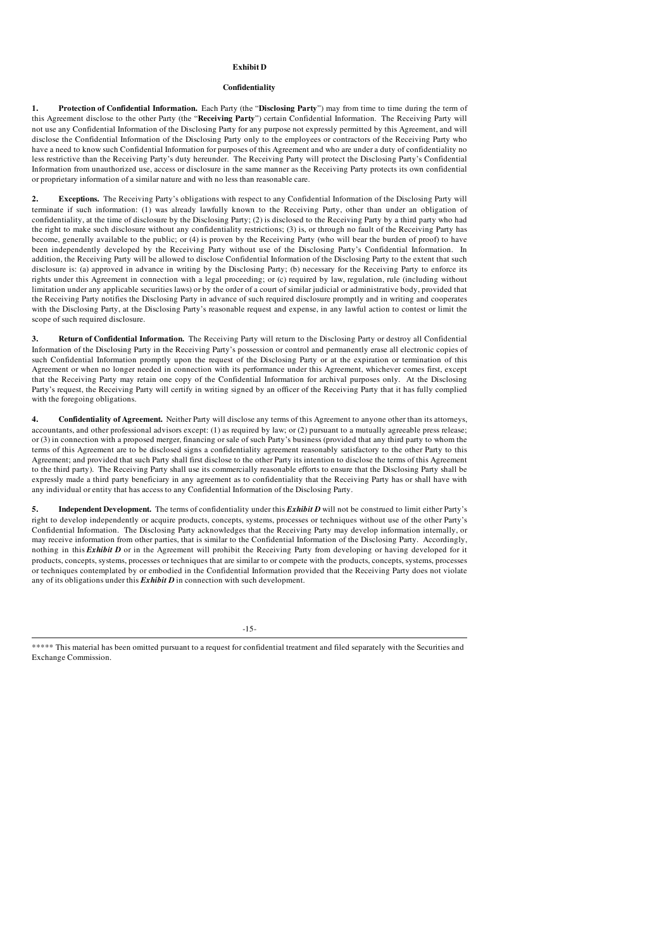### Exhibit D

#### Confidentiality

1. Protection of Confidential Information. Each Party (the "Disclosing Party") may from time to time during the term of this Agreement disclose to the other Party (the "Receiving Party") certain Confidential Information. The Receiving Party will not use any Confidential Information of the Disclosing Party for any purpose not expressly permitted by this Agreement, and will disclose the Confidential Information of the Disclosing Party only to the employees or contractors of the Receiving Party who have a need to know such Confidential Information for purposes of this Agreement and who are under a duty of confidentiality no less restrictive than the Receiving Party's duty hereunder. The Receiving Party will protect the Disclosing Party's Confidential Information from unauthorized use, access or disclosure in the same manner as the Receiving Party protects its own confidential or proprietary information of a similar nature and with no less than reasonable care.

2. Exceptions. The Receiving Party's obligations with respect to any Confidential Information of the Disclosing Party will terminate if such information: (1) was already lawfully known to the Receiving Party, other than under an obligation of confidentiality, at the time of disclosure by the Disclosing Party; (2) is disclosed to the Receiving Party by a third party who had the right to make such disclosure without any confidentiality restrictions; (3) is, or through no fault of the Receiving Party has become, generally available to the public; or (4) is proven by the Receiving Party (who will bear the burden of proof) to have been independently developed by the Receiving Party without use of the Disclosing Party's Confidential Information. In addition, the Receiving Party will be allowed to disclose Confidential Information of the Disclosing Party to the extent that such disclosure is: (a) approved in advance in writing by the Disclosing Party; (b) necessary for the Receiving Party to enforce its rights under this Agreement in connection with a legal proceeding; or (c) required by law, regulation, rule (including without limitation under any applicable securities laws) or by the order of a court of similar judicial or administrative body, provided that the Receiving Party notifies the Disclosing Party in advance of such required disclosure promptly and in writing and cooperates with the Disclosing Party, at the Disclosing Party's reasonable request and expense, in any lawful action to contest or limit the scope of such required disclosure.

3. Return of Confidential Information. The Receiving Party will return to the Disclosing Party or destroy all Confidential Information of the Disclosing Party in the Receiving Party's possession or control and permanently erase all electronic copies of such Confidential Information promptly upon the request of the Disclosing Party or at the expiration or termination of this Agreement or when no longer needed in connection with its performance under this Agreement, whichever comes first, except that the Receiving Party may retain one copy of the Confidential Information for archival purposes only. At the Disclosing Party's request, the Receiving Party will certify in writing signed by an officer of the Receiving Party that it has fully complied with the foregoing obligations.

4. Confidentiality of Agreement. Neither Party will disclose any terms of this Agreement to anyone other than its attorneys, accountants, and other professional advisors except: (1) as required by law; or (2) pursuant to a mutually agreeable press release; or (3) in connection with a proposed merger, financing or sale of such Party's business (provided that any third party to whom the terms of this Agreement are to be disclosed signs a confidentiality agreement reasonably satisfactory to the other Party to this Agreement; and provided that such Party shall first disclose to the other Party its intention to disclose the terms of this Agreement to the third party). The Receiving Party shall use its commercially reasonable efforts to ensure that the Disclosing Party shall be expressly made a third party beneficiary in any agreement as to confidentiality that the Receiving Party has or shall have with any individual or entity that has access to any Confidential Information of the Disclosing Party.

5. Independent Development. The terms of confidentiality under this *Exhibit D* will not be construed to limit either Party's right to develop independently or acquire products, concepts, systems, processes or techniques without use of the other Party's Confidential Information. The Disclosing Party acknowledges that the Receiving Party may develop information internally, or may receive information from other parties, that is similar to the Confidential Information of the Disclosing Party. Accordingly, nothing in this *Exhibit D* or in the Agreement will prohibit the Receiving Party from developing or having developed for it products, concepts, systems, processes or techniques that are similar to or compete with the products, concepts, systems, processes or techniques contemplated by or embodied in the Confidential Information provided that the Receiving Party does not violate any of its obligations under this *Exhibit D* in connection with such development.

-15-

<sup>\*\*\*\*\*</sup> This material has been omitted pursuant to a request for confidential treatment and filed separately with the Securities and Exchange Commission.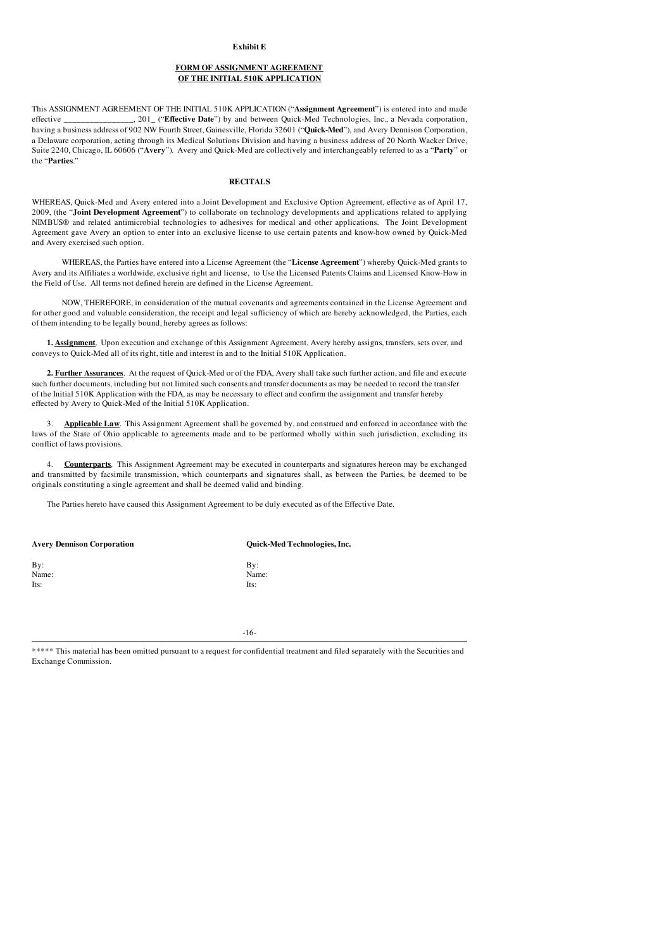#### Exhibit E

# FORM OF ASSIGNMENT AGREEMENT OF THE INITIAL 510K APPLICATION

This ASSIGNMENT AGREEMENT OF THE INITIAL 510K APPLICATION ("Assignment Agreement") is entered into and made<br>effective 201 ("Effective Date") by and between Quick-Med Technologies. Inc., a Nevada comoration. ., 201<sub>-</sub> ("**Effective Date**") by and between Quick-Med Technologies, Inc., a Nevada corporation, having a business address of 902 NW Fourth Street, Gainesville, Florida 32601 ("Quick-Med"), and Avery Dennison Corporation, a Delaware corporation, acting through its Medical Solutions Division and having a business address of 20 North Wacker Drive, Suite 2240, Chicago, IL 60606 ("Avery"). Avery and Quick-Med are collectively and interchangeably referred to as a "Party" or the "Parties."

#### **RECITALS**

WHEREAS, Quick-Med and Avery entered into a Joint Development and Exclusive Option Agreement, effective as of April 17, 2009, (the "Joint Development Agreement") to collaborate on technology developments and applications related to applying NIMBUS® and related antimicrobial technologies to adhesives for medical and other applications. The Joint Development Agreement gave Avery an option to enter into an exclusive license to use certain patents and know-how owned by Quick-Med and Avery exercised such option.

WHEREAS, the Parties have entered into a License Agreement (the "License Agreement") whereby Quick-Med grants to Avery and its Affiliates a worldwide, exclusive right and license, to Use the Licensed Patents Claims and Licensed Know-How in the Field of Use. All terms not defined herein are defined in the License Agreement.

NOW, THEREFORE, in consideration of the mutual covenants and agreements contained in the License Agreement and for other good and valuable consideration, the receipt and legal sufficiency of which are hereby acknowledged, the Parties, each of them intending to be legally bound, hereby agrees as follows:

1. Assignment. Upon execution and exchange of this Assignment Agreement, Avery hereby assigns, transfers, sets over, and conveys to Quick-Med all of its right, title and interest in and to the Initial 510K Application.

2. Further Assurances. At the request of Quick-Med or of the FDA, Avery shall take such further action, and file and execute such further documents, including but not limited such consents and transfer documents as may be needed to record the transfer of the Initial 510K Application with the FDA, as may be necessary to effect and confirm the assignment and transfer hereby effected by Avery to Quick-Med of the Initial 510K Application.

3. **Applicable Law**. This Assignment Agreement shall be governed by, and construed and enforced in accordance with the laws of the State of Ohio applicable to agreements made and to be performed wholly within such jurisdiction, excluding its conflict of laws provisions.

4. **Counterparts**. This Assignment Agreement may be executed in counterparts and signatures hereon may be exchanged and transmitted by facsimile transmission, which counterparts and signatures shall, as between the Parties, be deemed to be originals constituting a single agreement and shall be deemed valid and binding.

The Parties hereto have caused this Assignment Agreement to be duly executed as of the Effective Date.

| <b>Avery Dennison Corporation</b> | Quick-Med Technologies, Inc. |
|-----------------------------------|------------------------------|
| By:                               | By:                          |
| Name:                             | Name:                        |
| Its:                              | Its:                         |
|                                   |                              |

-16-

| ***** This material has been omitted pursuant to a request for confidential treatment and filed separately with the Securities and |  |
|------------------------------------------------------------------------------------------------------------------------------------|--|
| Exchange Commission.                                                                                                               |  |